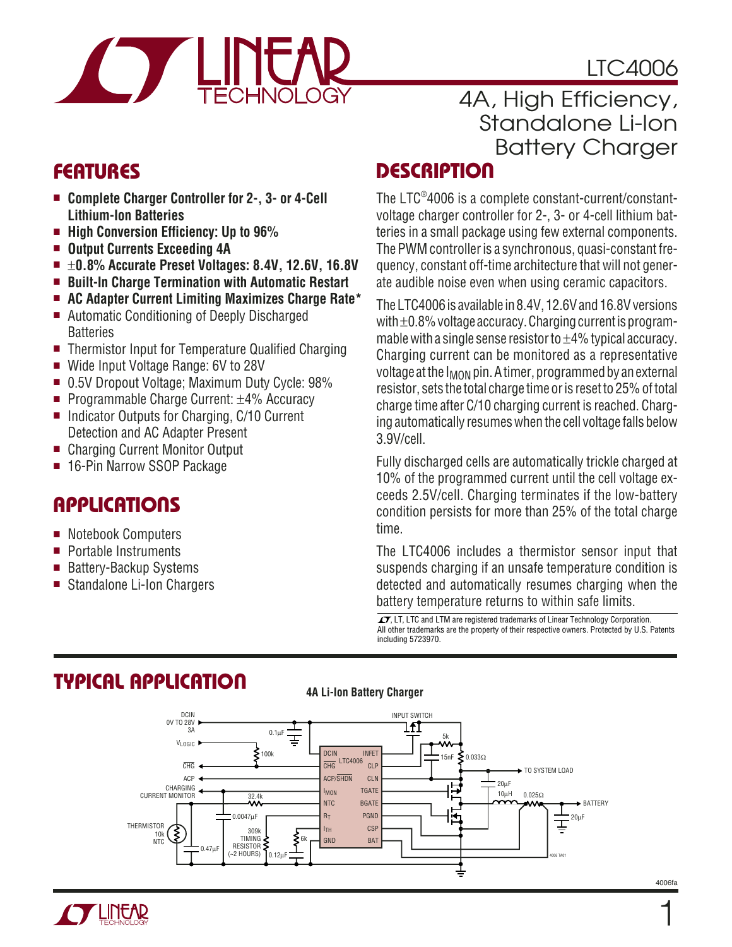# LTC4006



# 4A, High Efficiency, Standalone Li-Ion Battery Charger

- **Complete Charger Controller for 2-, 3- or 4-Cell Lithium-Ion Batteries**
- **High Conversion Efficiency: Up to 96%**
- **Output Currents Exceeding 4A**
- ±**0.8% Accurate Preset Voltages: 8.4V, 12.6V, 16.8V**
- **Built-In Charge Termination with Automatic Restart**
- **AC Adapter Current Limiting Maximizes Charge Rate\***
- Automatic Conditioning of Deeply Discharged **Batteries**
- Thermistor Input for Temperature Qualified Charging
- Wide Input Voltage Range: 6V to 28V
- 0.5V Dropout Voltage; Maximum Duty Cycle: 98%
- Programmable Charge Current: ±4% Accuracy
- Indicator Outputs for Charging, C/10 Current Detection and AC Adapter Present
- Charging Current Monitor Output
- 16-Pin Narrow SSOP Package

# **APPLICATIONS**

- Notebook Computers
- Portable Instruments
- Battery-Backup Systems
- Standalone Li-Ion Chargers

# **FEATURES DESCRIPTIO <sup>U</sup>**

The LTC® 4006 is a complete constant-current/constantvoltage charger controller for 2-, 3- or 4-cell lithium batteries in a small package using few external components. The PWM controller is a synchronous, quasi-constant frequency, constant off-time architecture that will not generate audible noise even when using ceramic capacitors.

The LTC4006 is available in 8.4V, 12.6V and 16.8V versions with ±0.8% voltage accuracy. Charging current is programmable with a single sense resistor to  $\pm 4\%$  typical accuracy. Charging current can be monitored as a representative voltage at the I<sub>MON</sub> pin. A timer, programmed by an external resistor, sets the total charge time or is reset to 25% of total charge time after C/10 charging current is reached. Charging automatically resumes when the cell voltage falls below 3.9V/cell.

Fully discharged cells are automatically trickle charged at 10% of the programmed current until the cell voltage exceeds 2.5V/cell. Charging terminates if the low-battery condition persists for more than 25% of the total charge time.

The LTC4006 includes a thermistor sensor input that suspends charging if an unsafe temperature condition is detected and automatically resumes charging when the battery temperature returns to within safe limits.

 $\overline{\mathcal{A}}$ , LT, LTC and LTM are registered trademarks of Linear Technology Corporation. All other trademarks are the property of their respective owners. Protected by U.S. Patents including 5723970.



### **TYPICAL APPLICATIO U**

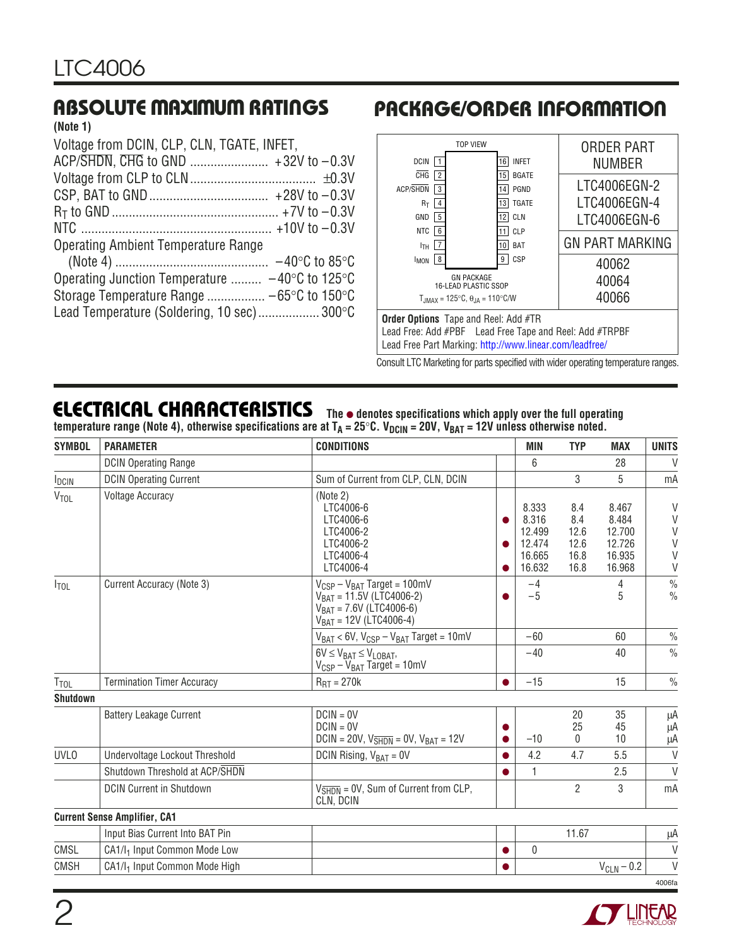#### **(Note 1)**

| Voltage from DCIN, CLP, CLN, TGATE, INFET,     |
|------------------------------------------------|
|                                                |
|                                                |
|                                                |
|                                                |
|                                                |
| <b>Operating Ambient Temperature Range</b>     |
|                                                |
| Operating Junction Temperature  −40°C to 125°C |
|                                                |
| Lead Temperature (Soldering, 10 sec) 300°C     |
|                                                |

# **ABSOLUTE MAXIMUM RATINGS <sup>W</sup> <sup>W</sup> <sup>W</sup> <sup>U</sup> PACKAGE/ORDER INFORMATION <sup>U</sup> <sup>W</sup> <sup>U</sup>**



Consult LTC Marketing for parts specified with wider operating temperature ranges.

### **ELECTRICAL CHARACTERISTICS**

**The** ● **denotes specifications which apply over the full operating** temperature range (Note 4), otherwise specifications are at T<sub>A</sub> = 25°C. V<sub>DCIN</sub> = 20V, V<sub>BAT</sub> = 12V unless otherwise noted.

| <b>SYMBOL</b>    | <b>PARAMETER</b>                          | <b>CONDITIONS</b>                                                                                                                  |                | <b>MIN</b>                                             | <b>TYP</b>                                 | <b>MAX</b>                                             | <b>UNITS</b>                         |
|------------------|-------------------------------------------|------------------------------------------------------------------------------------------------------------------------------------|----------------|--------------------------------------------------------|--------------------------------------------|--------------------------------------------------------|--------------------------------------|
|                  | <b>DCIN Operating Range</b>               |                                                                                                                                    |                | 6                                                      |                                            | 28                                                     | $\vee$                               |
| $I_{DCIN}$       | <b>DCIN Operating Current</b>             | Sum of Current from CLP, CLN, DCIN                                                                                                 |                |                                                        | 3                                          | 5                                                      | mA                                   |
| <b>VTOL</b>      | <b>Voltage Accuracy</b>                   | (Note 2)<br>LTC4006-6<br>LTC4006-6<br>LTC4006-2<br>LTC4006-2<br>LTC4006-4<br>LTC4006-4                                             | ●<br>$\bullet$ | 8.333<br>8.316<br>12.499<br>12.474<br>16.665<br>16.632 | 8.4<br>8.4<br>12.6<br>12.6<br>16.8<br>16.8 | 8.467<br>8.484<br>12.700<br>12.726<br>16.935<br>16.968 | $\vee$<br>V<br>V<br>V<br>$\vee$<br>V |
| $I_{\text{TOL}}$ | Current Accuracy (Note 3)                 | $V_{CSP} - V_{BAT}$ Target = 100mV<br>$V_{BAT} = 11.5V (LTC4006-2)$<br>$V_{BAT}$ = 7.6V (LTC4006-6)<br>$V_{BAT} = 12V (LTC4006-4)$ |                | $-4$<br>$-5$                                           |                                            | 4<br>5                                                 | $\frac{0}{0}$<br>$\frac{0}{0}$       |
|                  |                                           | $V_{BAT}$ < 6V, $V_{CSP} - V_{BAT}$ Target = 10mV                                                                                  |                | $-60$                                                  |                                            | 60                                                     | $\%$                                 |
|                  |                                           | $6V \leq V_{BAT} \leq V_{LOBAT}$<br>$V_{CSP} - V_{BAT}$ Target = 10mV                                                              |                | $-40$                                                  |                                            | 40                                                     | $\frac{0}{0}$                        |
| $T_{\text{TOL}}$ | <b>Termination Timer Accuracy</b>         | $R_{\text{RT}} = 270k$                                                                                                             |                | $-15$                                                  |                                            | 15                                                     | $\%$                                 |
| <b>Shutdown</b>  |                                           |                                                                                                                                    |                |                                                        |                                            |                                                        |                                      |
|                  | <b>Battery Leakage Current</b>            | $DCIN = OV$<br>$DCIN = OV$<br>DCIN = 20V, $V_{\overline{\text{SHDN}}}$ = 0V, $V_{\text{BAT}}$ = 12V                                | $\bullet$      | $-10$                                                  | 20<br>25<br>$\mathbf{0}$                   | 35<br>45<br>10                                         | μA<br>μA<br>μA                       |
| <b>UVLO</b>      | Undervoltage Lockout Threshold            | DCIN Rising, $V_{BAT} = 0V$                                                                                                        |                | 4.2                                                    | 4.7                                        | 5.5                                                    | $\vee$                               |
|                  | Shutdown Threshold at ACP/SHDN            |                                                                                                                                    |                | $\mathbf{1}$                                           |                                            | 2.5                                                    | $\vee$                               |
|                  | <b>DCIN Current in Shutdown</b>           | $V_{\overline{\text{SHDN}}}$ = 0V, Sum of Current from CLP,<br>CLN, DCIN                                                           |                |                                                        | $\overline{2}$                             | 3                                                      | mA                                   |
|                  | <b>Current Sense Amplifier, CA1</b>       |                                                                                                                                    |                |                                                        |                                            |                                                        |                                      |
|                  | Input Bias Current Into BAT Pin           |                                                                                                                                    |                |                                                        | 11.67                                      |                                                        | μA                                   |
| CMSL             | CA1/I <sub>1</sub> Input Common Mode Low  |                                                                                                                                    |                | $\theta$                                               |                                            |                                                        | $\vee$                               |
| <b>CMSH</b>      | CA1/l <sub>1</sub> Input Common Mode High |                                                                                                                                    |                |                                                        |                                            | $V_{CLN} - 0.2$                                        | $\vee$                               |
|                  |                                           |                                                                                                                                    |                |                                                        |                                            |                                                        | 4006fa                               |

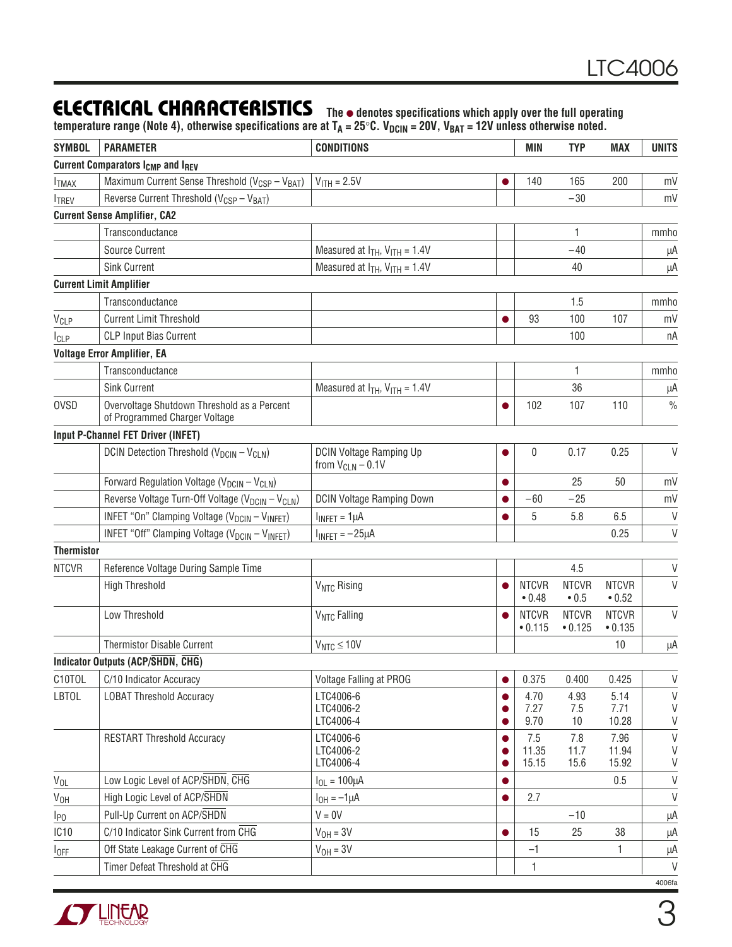### **ELECTRICAL CHARACTERISTICS**

**The** ● **denotes specifications which apply over the full operating** temperature range (Note 4), otherwise specifications are at T<sub>A</sub> = 25°C. V<sub>DCIN</sub> = 20V, V<sub>BAT</sub> = 12V unless otherwise noted.

| <b>SYMBOL</b>     | <b>PARAMETER</b>                                                             | <b>CONDITIONS</b>                                       |           | MIN                     | <b>TYP</b>                    | <b>MAX</b>              | <b>UNITS</b>  |
|-------------------|------------------------------------------------------------------------------|---------------------------------------------------------|-----------|-------------------------|-------------------------------|-------------------------|---------------|
|                   | <b>Current Comparators I<sub>CMP</sub></b> and I <sub>REV</sub>              |                                                         |           |                         |                               |                         |               |
| <b>ITMAX</b>      | Maximum Current Sense Threshold (V <sub>CSP</sub> - V <sub>BAT</sub> )       | $V_{\text{ITH}} = 2.5V$                                 |           | 140                     | 165                           | 200                     | mV            |
| <b>ITREV</b>      | Reverse Current Threshold (V <sub>CSP</sub> - V <sub>BAT</sub> )             |                                                         |           |                         | $-30$                         |                         | mV            |
|                   | <b>Current Sense Amplifier, CA2</b>                                          |                                                         |           |                         |                               |                         |               |
|                   | Transconductance                                                             |                                                         |           |                         | 1                             |                         | mmho          |
|                   | Source Current                                                               | Measured at $I_{TH}$ , $V_{ITH} = 1.4V$                 |           |                         | $-40$                         |                         | μA            |
|                   | <b>Sink Current</b>                                                          | Measured at $I_{TH}$ , $V_{ITH} = 1.4V$                 |           |                         | 40                            |                         | μA            |
|                   | <b>Current Limit Amplifier</b>                                               |                                                         |           |                         |                               |                         |               |
|                   | Transconductance                                                             |                                                         |           |                         | 1.5                           |                         | mmho          |
| V <sub>CLP</sub>  | <b>Current Limit Threshold</b>                                               |                                                         |           | 93                      | 100                           | 107                     | mV            |
| <b>I</b> CLP      | <b>CLP Input Bias Current</b>                                                |                                                         |           |                         | 100                           |                         | пA            |
|                   | <b>Voltage Error Amplifier, EA</b>                                           |                                                         |           |                         |                               |                         |               |
|                   | Transconductance                                                             |                                                         |           |                         | 1                             |                         | mmho          |
|                   | <b>Sink Current</b>                                                          | Measured at $I_{TH}$ , $V_{ITH}$ = 1.4V                 |           |                         | 36                            |                         | μA            |
| <b>OVSD</b>       | Overvoltage Shutdown Threshold as a Percent<br>of Programmed Charger Voltage |                                                         |           | 102                     | 107                           | 110                     | $\frac{0}{0}$ |
|                   | <b>Input P-Channel FET Driver (INFET)</b>                                    |                                                         |           |                         |                               |                         |               |
|                   | DCIN Detection Threshold (V <sub>DCIN</sub> - V <sub>CLN</sub> )             | <b>DCIN Voltage Ramping Up</b><br>from $V_{CLN}$ – 0.1V |           | 0                       | 0.17                          | 0.25                    | V             |
|                   | Forward Regulation Voltage (V <sub>DCIN</sub> - V <sub>CLN</sub> )           |                                                         |           |                         | 25                            | 50                      | mV            |
|                   | Reverse Voltage Turn-Off Voltage (V <sub>DCIN</sub> - V <sub>CLN</sub> )     | <b>DCIN Voltage Ramping Down</b>                        |           | -60                     | $-25$                         |                         | mV            |
|                   | INFET "On" Clamping Voltage (V <sub>DCIN</sub> - V <sub>INFET</sub> )        | $I_{INFET} = 1 \mu A$                                   | $\bullet$ | 5                       | 5.8                           | 6.5                     | $\mathsf{V}$  |
|                   | INFET "Off" Clamping Voltage (V <sub>DCIN</sub> - V <sub>INFET</sub> )       | $I_{INFET} = -25\mu A$                                  |           |                         |                               | 0.25                    | $\mathsf V$   |
| <b>Thermistor</b> |                                                                              |                                                         |           |                         |                               |                         |               |
| <b>NTCVR</b>      | Reference Voltage During Sample Time                                         |                                                         |           |                         | 4.5                           |                         | V             |
|                   | <b>High Threshold</b>                                                        | V <sub>NTC</sub> Rising                                 |           | <b>NTCVR</b><br>• 0.48  | <b>NTCVR</b><br>$\bullet$ 0.5 | <b>NTCVR</b><br>• 0.52  | $\vee$        |
|                   | Low Threshold                                                                | V <sub>NTC</sub> Falling                                |           | <b>NTCVR</b><br>• 0.115 | <b>NTCVR</b><br>• 0.125       | <b>NTCVR</b><br>• 0.135 | V             |
|                   | Thermistor Disable Current                                                   | $V_{NTC} \le 10V$                                       |           |                         |                               | 10                      | μA            |
|                   | Indicator Outputs (ACP/SHDN, CHG)                                            |                                                         |           |                         |                               |                         |               |
| C10TOL            | C/10 Indicator Accuracy                                                      | Voltage Falling at PROG                                 | $\bullet$ | 0.375                   | 0.400                         | 0.425                   | V             |
| <b>LBTOL</b>      | <b>LOBAT Threshold Accuracy</b>                                              | LTC4006-6                                               |           | 4.70                    | 4.93                          | 5.14                    | V             |
|                   |                                                                              | LTC4006-2                                               |           | 7.27                    | 7.5                           | 7.71                    | V             |
|                   |                                                                              | LTC4006-4<br>LTC4006-6                                  |           | 9.70                    | 10                            | 10.28                   | V             |
|                   | <b>RESTART Threshold Accuracy</b>                                            | LTC4006-2                                               | $\bullet$ | 7.5<br>11.35            | 7.8<br>11.7                   | 7.96<br>11.94           | $\vee$<br>V   |
|                   |                                                                              | LTC4006-4                                               |           | 15.15                   | 15.6                          | 15.92                   | V             |
| $V_{OL}$          | Low Logic Level of ACP/SHDN, CHG                                             | $I_{OL} = 100 \mu A$                                    | $\bullet$ |                         |                               | 0.5                     | $\sf V$       |
| V <sub>OH</sub>   | High Logic Level of ACP/SHDN                                                 | $I_{OH} = -1 \mu A$                                     | $\bullet$ | 2.7                     |                               |                         | V             |
| $I_{P0}$          | Pull-Up Current on ACP/SHDN                                                  | $V = 0V$                                                |           |                         | $-10$                         |                         | μA            |
| IC <sub>10</sub>  | C/10 Indicator Sink Current from CHG                                         | $VOH = 3V$                                              | $\bullet$ | 15                      | 25                            | 38                      | μA            |
| $I_{OFF}$         | Off State Leakage Current of CHG                                             | $V_{OH} = 3V$                                           |           | $-1$                    |                               | 1                       | μA            |
|                   | Timer Defeat Threshold at CHG                                                |                                                         |           | 1                       |                               |                         | V             |
|                   |                                                                              |                                                         |           |                         |                               |                         | 4006fa        |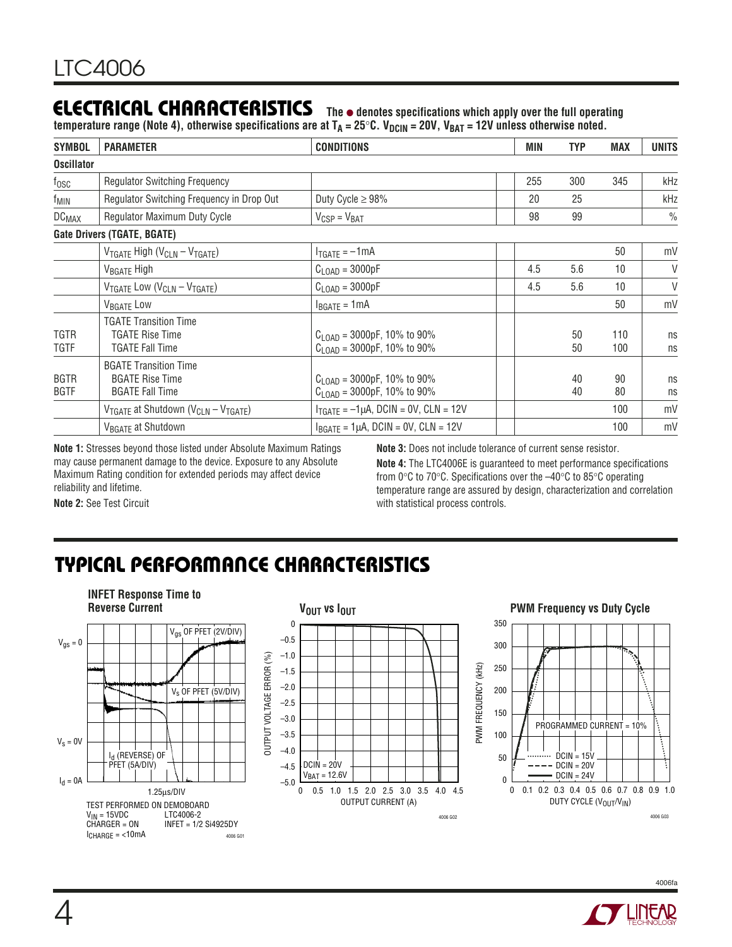## **ELECTRICAL CHARACTERISTICS**

**The** ● **denotes specifications which apply over the full operating** temperature range (Note 4), otherwise specifications are at T<sub>A</sub> = 25°C. V<sub>DCIN</sub> = 20V, V<sub>BAT</sub> = 12V unless otherwise noted.

| <b>SYMBOL</b>              | <b>PARAMETER</b>                                                                 | <b>CONDITIONS</b>                                                                 | MIN | <b>TYP</b> | <b>MAX</b> | <b>UNITS</b>  |
|----------------------------|----------------------------------------------------------------------------------|-----------------------------------------------------------------------------------|-----|------------|------------|---------------|
| <b>Oscillator</b>          |                                                                                  |                                                                                   |     |            |            |               |
| $t_{\rm OSC}$              | <b>Regulator Switching Frequency</b>                                             |                                                                                   | 255 | 300        | 345        | kHz           |
| <sup>T</sup> MIN           | Regulator Switching Freguency in Drop Out                                        | Duty Cycle $\geq$ 98%                                                             | 20  | 25         |            | kHz           |
| <b>DC<sub>MAX</sub></b>    | Regulator Maximum Duty Cycle                                                     | $V_{CSP} = V_{BAT}$                                                               | 98  | 99         |            | $\frac{0}{0}$ |
|                            | Gate Drivers (TGATE, BGATE)                                                      |                                                                                   |     |            |            |               |
|                            | $V_{TGATE}$ High ( $V_{CLN} - V_{TGATE}$ )                                       | $I_{TGATE} = -1mA$                                                                |     |            | 50         | mV            |
|                            | V <sub>BGATE</sub> High                                                          | $C_{\text{LOAD}} = 3000pF$                                                        | 4.5 | 5.6        | 10         | V             |
|                            | $V_{TGATE}$ Low ( $V_{CLN} - V_{TGATE}$ )                                        | $C_{\text{LOAD}} = 3000pF$                                                        | 4.5 | 5.6        | 10         | V             |
|                            | V <sub>BGATE</sub> Low                                                           | $I_{BGATE} = 1mA$                                                                 |     |            | 50         | mV            |
| TGTR<br>TGTF               | <b>TGATE Transition Time</b><br><b>TGATE Rise Time</b><br>TGATE Fall Time        | $C_{\text{LOAD}}$ = 3000pF, 10% to 90%<br>$C_{\text{LOAD}} = 3000pF, 10\%$ to 90% |     | 50<br>50   | 110<br>100 | ns<br>ns      |
| <b>BGTR</b><br><b>BGTF</b> | <b>BGATE Transition Time</b><br><b>BGATE Rise Time</b><br><b>BGATE Fall Time</b> | $C_{\text{LOAD}}$ = 3000pF, 10% to 90%<br>$C_{\text{LOAD}}$ = 3000pF, 10% to 90%  |     | 40<br>40   | 90<br>80   | ns<br>ns      |
|                            | $V_{TGATE}$ at Shutdown ( $V_{CLN} - V_{TGATE}$ )                                | $I_{TGATE} = -1 \mu A$ , DCIN = 0V, CLN = 12V                                     |     |            | 100        | mV            |
|                            | V <sub>BGATE</sub> at Shutdown                                                   | $I_{BGATE} = 1 \mu A$ , DCIN = 0V, CLN = 12V                                      |     |            | 100        | mV            |

**Note 1:** Stresses beyond those listed under Absolute Maximum Ratings may cause permanent damage to the device. Exposure to any Absolute Maximum Rating condition for extended periods may affect device reliability and lifetime.

**Note 3:** Does not include tolerance of current sense resistor.

**Note 4:** The LTC4006E is guaranteed to meet performance specifications from 0°C to 70°C. Specifications over the –40°C to 85°C operating temperature range are assured by design, characterization and correlation with statistical process controls.

**Note 2:** See Test Circuit

# **TYPICAL PERFORMANCE CHARACTERISTICS**





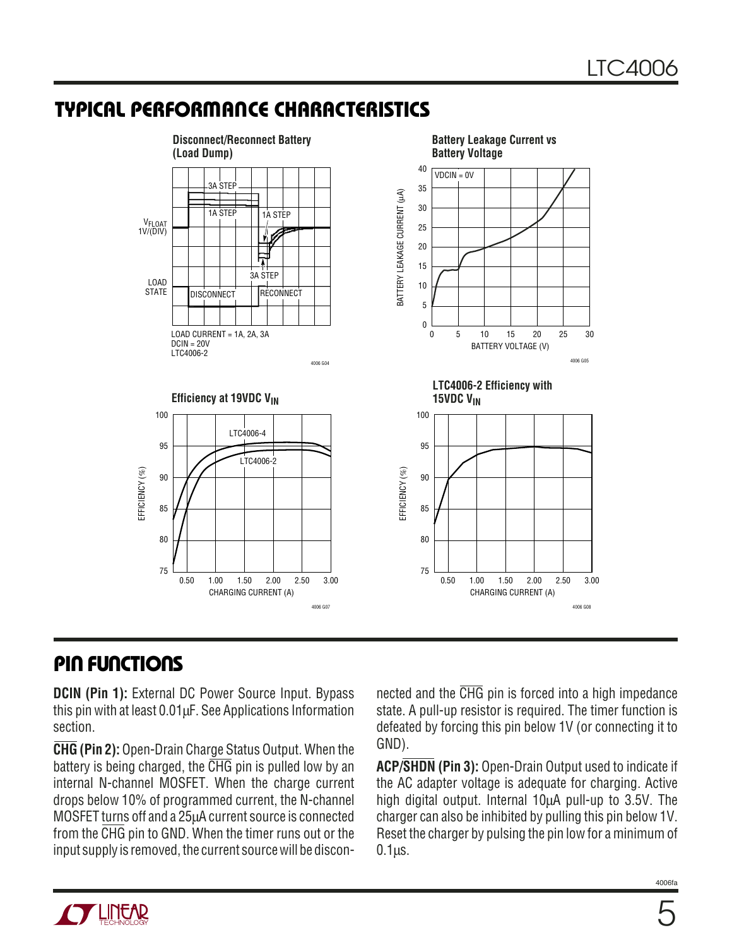### **TYPICAL PERFORMANCE CHARACTERISTICS**



### **PIN FUNCTIONS**

**DCIN (Pin 1):** External DC Power Source Input. Bypass this pin with at least 0.01µF. See Applications Information section.

**CHG (Pin 2):** Open-Drain Charge Status Output. When the battery is being charged, the  $\overline{\text{CHG}}$  pin is pulled low by an internal N-channel MOSFET. When the charge current drops below 10% of programmed current, the N-channel MOSFET turns off and a 25µA current source is connected from the CHG pin to GND. When the timer runs out or the input supply is removed, the current source will be disconnected and the CHG pin is forced into a high impedance state. A pull-up resistor is required. The timer function is defeated by forcing this pin below 1V (or connecting it to GND).

**ACP/SHDN (Pin 3):** Open-Drain Output used to indicate if the AC adapter voltage is adequate for charging. Active high digital output. Internal 10µA pull-up to 3.5V. The charger can also be inhibited by pulling this pin below 1V. Reset the charger by pulsing the pin low for a minimum of  $0.1<sub>µS</sub>$ .

![](_page_4_Picture_8.jpeg)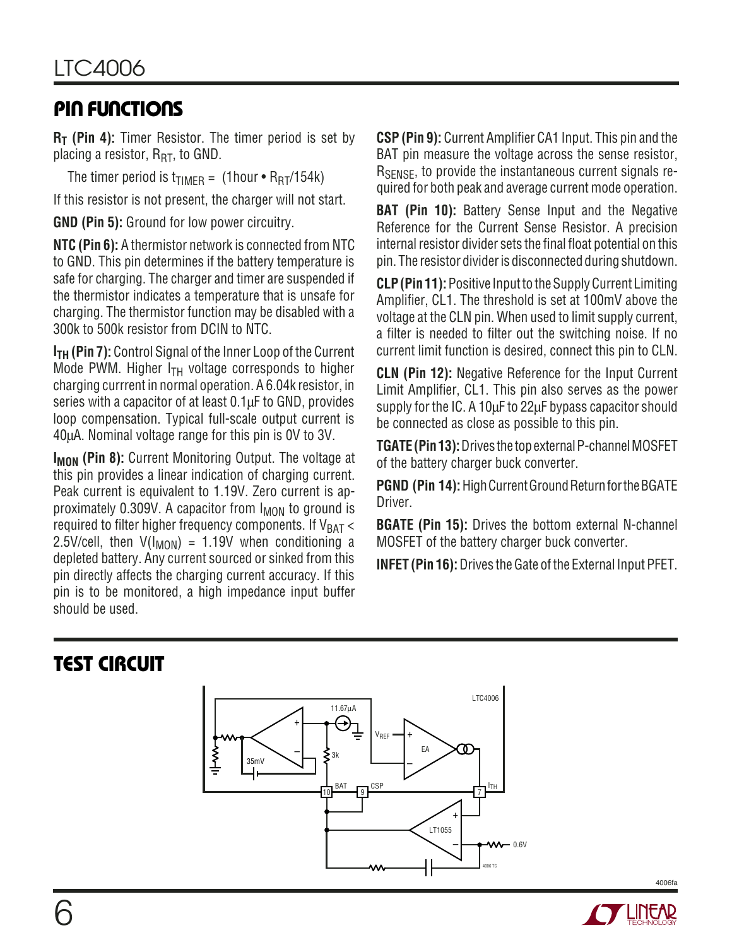# **PIN FUNCTIONS**

**R<sub>T</sub>** (Pin 4): Timer Resistor. The timer period is set by placing a resistor,  $R_{\text{RT}}$ , to GND.

The timer period is  $t_{\text{TIMER}} = (1 \text{hour} \cdot \text{R}_{\text{RT}}/154 \text{k})$ 

If this resistor is not present, the charger will not start.

**GND (Pin 5):** Ground for low power circuitry.

**NTC (Pin 6):** A thermistor network is connected from NTC to GND. This pin determines if the battery temperature is safe for charging. The charger and timer are suspended if the thermistor indicates a temperature that is unsafe for charging. The thermistor function may be disabled with a 300k to 500k resistor from DCIN to NTC.

**I<sub>TH</sub>** (Pin 7): Control Signal of the Inner Loop of the Current Mode PWM. Higher  $I_{TH}$  voltage corresponds to higher charging currrent in normal operation. A 6.04k resistor, in series with a capacitor of at least 0.1µF to GND, provides loop compensation. Typical full-scale output current is 40µA. Nominal voltage range for this pin is 0V to 3V.

**I<sub>MON</sub>** (Pin 8): Current Monitoring Output. The voltage at this pin provides a linear indication of charging current. Peak current is equivalent to 1.19V. Zero current is approximately  $0.309V$ . A capacitor from  $I_{MON}$  to ground is required to filter higher frequency components. If  $V_{BAT} <$ 2.5V/cell, then  $V(I_{MON}) = 1.19V$  when conditioning a depleted battery. Any current sourced or sinked from this pin directly affects the charging current accuracy. If this pin is to be monitored, a high impedance input buffer should be used.

**CSP (Pin 9):** Current Amplifier CA1 Input. This pin and the BAT pin measure the voltage across the sense resistor, R<sub>SENSE</sub>, to provide the instantaneous current signals required for both peak and average current mode operation.

**BAT (Pin 10):** Battery Sense Input and the Negative Reference for the Current Sense Resistor. A precision internal resistor divider sets the final float potential on this pin. The resistor divider is disconnected during shutdown.

**CLP (Pin 11):** Positive Input to the Supply Current Limiting Amplifier, CL1. The threshold is set at 100mV above the voltage at the CLN pin. When used to limit supply current, a filter is needed to filter out the switching noise. If no current limit function is desired, connect this pin to CLN.

**CLN (Pin 12):** Negative Reference for the Input Current Limit Amplifier, CL1. This pin also serves as the power supply for the IC. A 10µF to 22µF bypass capacitor should be connected as close as possible to this pin.

**TGATE (Pin 13):** Drives the top external P-channel MOSFET of the battery charger buck converter.

**PGND (Pin 14):**High Current Ground Return for the BGATE Driver.

**BGATE (Pin 15):** Drives the bottom external N-channel MOSFET of the battery charger buck converter.

**INFET (Pin 16):** Drives the Gate of the External Input PFET.

# **TEST CIRCUIT**

![](_page_5_Figure_18.jpeg)

![](_page_5_Picture_19.jpeg)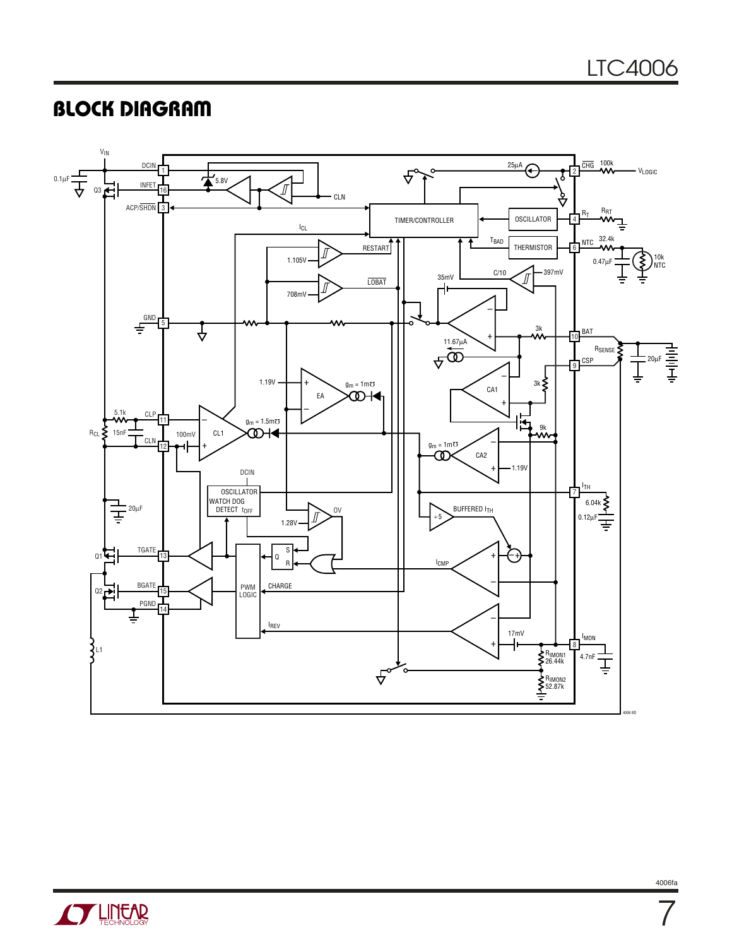# **BLOCK DIAGRAM**

![](_page_6_Figure_2.jpeg)

![](_page_6_Picture_3.jpeg)

4006fa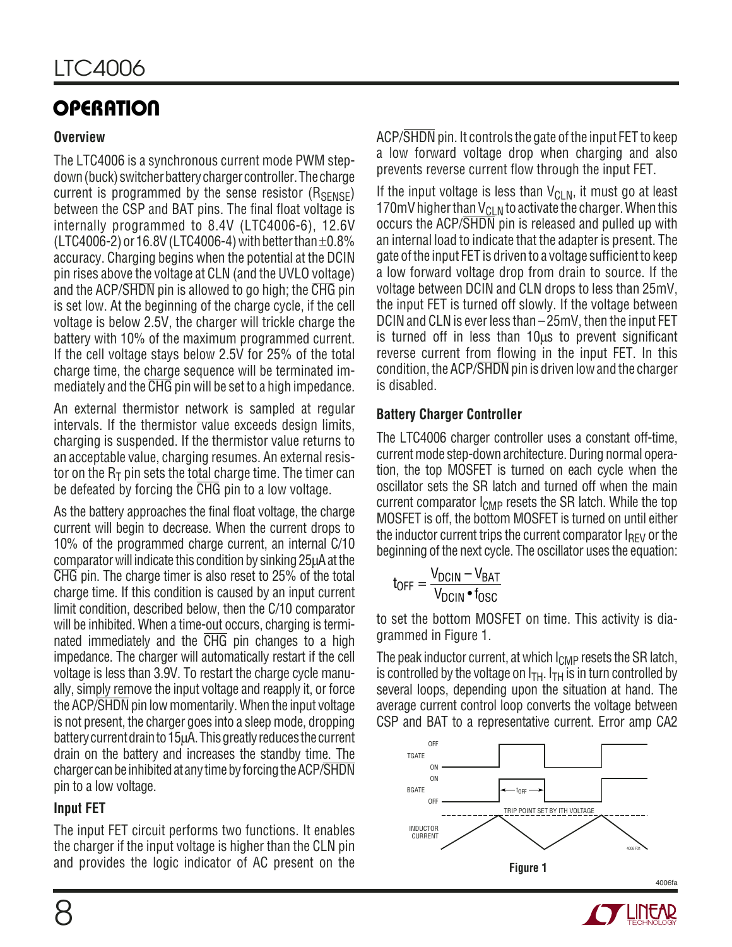### **Overview**

The LTC4006 is a synchronous current mode PWM stepdown (buck) switcher battery charger controller. The charge current is programmed by the sense resistor  $(R_{\text{SENSF}})$ between the CSP and BAT pins. The final float voltage is internally programmed to 8.4V (LTC4006-6), 12.6V (LTC4006-2) or 16.8V (LTC4006-4) with better than  $\pm 0.8\%$ accuracy. Charging begins when the potential at the DCIN pin rises above the voltage at CLN (and the UVLO voltage) and the ACP/SHDN pin is allowed to go high; the CHG pin is set low. At the beginning of the charge cycle, if the cell voltage is below 2.5V, the charger will trickle charge the battery with 10% of the maximum programmed current. If the cell voltage stays below 2.5V for 25% of the total charge time, the charge sequence will be terminated immediately and the CHG pin will be set to a high impedance.

An external thermistor network is sampled at regular intervals. If the thermistor value exceeds design limits, charging is suspended. If the thermistor value returns to an acceptable value, charging resumes. An external resistor on the  $R_T$  pin sets the total charge time. The timer can be defeated by forcing the CHG pin to a low voltage.

As the battery approaches the final float voltage, the charge current will begin to decrease. When the current drops to 10% of the programmed charge current, an internal C/10 comparator will indicate this condition by sinking 25µA at the CHG pin. The charge timer is also reset to 25% of the total charge time. If this condition is caused by an input current limit condition, described below, then the C/10 comparator will be inhibited. When a time-out occurs, charging is terminated immediately and the CHG pin changes to a high impedance. The charger will automatically restart if the cell voltage is less than 3.9V. To restart the charge cycle manually, simply remove the input voltage and reapply it, or force the ACP/SHDN pin low momentarily. When the input voltage is not present, the charger goes into a sleep mode, dropping battery current drain to 15µA. This greatly reduces the current drain on the battery and increases the standby time. The charger can be inhibited at any time by forcing the ACP/SHDN pin to a low voltage.

### **Input FET**

The input FET circuit performs two functions. It enables the charger if the input voltage is higher than the CLN pin and provides the logic indicator of AC present on the ACP/SHDN pin. It controls the gate of the input FET to keep a low forward voltage drop when charging and also prevents reverse current flow through the input FET.

If the input voltage is less than  $V_{CLN}$ , it must go at least 170mV higher than  $V_{CLN}$  to activate the charger. When this occurs the ACP/SHDN pin is released and pulled up with an internal load to indicate that the adapter is present. The gate of the input FET is driven to a voltage sufficient to keep a low forward voltage drop from drain to source. If the voltage between DCIN and CLN drops to less than 25mV, the input FET is turned off slowly. If the voltage between DCIN and CLN is ever less than –25mV, then the input FET is turned off in less than 10µs to prevent significant reverse current from flowing in the input FET. In this condition, the ACP/SHDN pin is driven low and the charger is disabled.

### **Battery Charger Controller**

The LTC4006 charger controller uses a constant off-time, current mode step-down architecture. During normal operation, the top MOSFET is turned on each cycle when the oscillator sets the SR latch and turned off when the main current comparator  $I_{\text{CMP}}$  resets the SR latch. While the top MOSFET is off, the bottom MOSFET is turned on until either the inductor current trips the current comparator  $I_{RFV}$  or the beginning of the next cycle. The oscillator uses the equation:

$$
t_{OFF} = \frac{V_{DCIN} - V_{BAT}}{V_{DCIN} \cdot f_{OSC}}
$$

to set the bottom MOSFET on time. This activity is diagrammed in Figure 1.

The peak inductor current, at which  $I_{\text{CMP}}$  resets the SR latch, is controlled by the voltage on  $I<sub>TH</sub>$ .  $I<sub>TH</sub>$  is in turn controlled by several loops, depending upon the situation at hand. The average current control loop converts the voltage between CSP and BAT to a representative current. Error amp CA2

![](_page_7_Figure_15.jpeg)

![](_page_7_Picture_16.jpeg)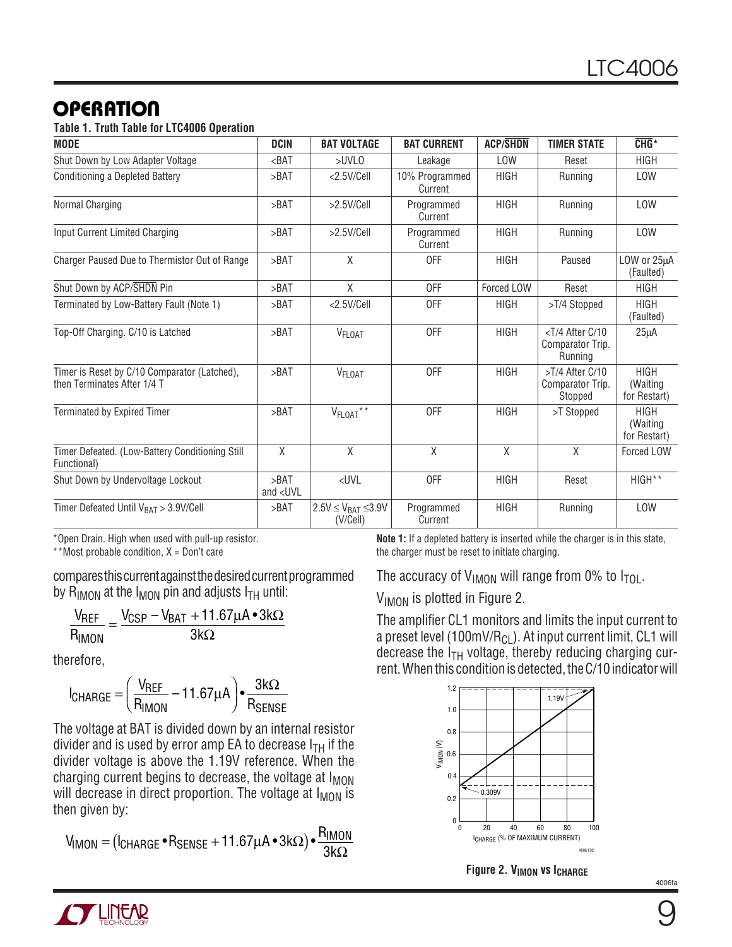#### **Table 1. Truth Table for LTC4006 Operation**

| <b>MODE</b>                                                                 | <b>DCIN</b>               | <b>BAT VOLTAGE</b>                        | <b>BAT CURRENT</b>        | <b>ACP/SHDN</b> | <b>TIMER STATE</b>                                              | $CHG*$                                   |
|-----------------------------------------------------------------------------|---------------------------|-------------------------------------------|---------------------------|-----------------|-----------------------------------------------------------------|------------------------------------------|
| Shut Down by Low Adapter Voltage                                            | $BAT$                     | $>$ UVLO                                  | Leakage                   | <b>LOW</b>      | Reset                                                           | <b>HIGH</b>                              |
| Conditioning a Depleted Battery                                             | >BAT                      | $<$ 2.5V/Cell                             | 10% Programmed<br>Current | <b>HIGH</b>     | Running                                                         | <b>LOW</b>                               |
| Normal Charging                                                             | >BAT                      | >2.5V/Cell                                | Programmed<br>Current     | <b>HIGH</b>     | Running                                                         | <b>LOW</b>                               |
| Input Current Limited Charging                                              | >BAT                      | >2.5V/Cell                                | Programmed<br>Current     | <b>HIGH</b>     | Running                                                         | LOW                                      |
| Charger Paused Due to Thermistor Out of Range                               | >BAT                      | $\chi$                                    | <b>OFF</b>                | <b>HIGH</b>     | Paused                                                          | LOW or 25µA<br>(Faulted)                 |
| Shut Down by ACP/SHDN Pin                                                   | >BAT                      | X                                         | 0FF                       | Forced LOW      | Reset                                                           | <b>HIGH</b>                              |
| Terminated by Low-Battery Fault (Note 1)                                    | >BAT                      | <2.5V/Cell                                | 0FF                       | <b>HIGH</b>     | >T/4 Stopped                                                    | <b>HIGH</b><br>(Faulted)                 |
| Top-Off Charging. C/10 is Latched                                           | >BAT                      | V <sub>FLOAT</sub>                        | <b>OFF</b>                | <b>HIGH</b>     | <t 10<br="" 4="" after="" c="">Comparator Trip.<br/>Running</t> | $25\mu A$                                |
| Timer is Reset by C/10 Comparator (Latched),<br>then Terminates After 1/4 T | >BAT                      | V <sub>FLOAT</sub>                        | <b>OFF</b>                | <b>HIGH</b>     | >T/4 After C/10<br>Comparator Trip.<br>Stopped                  | <b>HIGH</b><br>(Waiting)<br>for Restart) |
| Terminated by Expired Timer                                                 | >BAT                      | V <sub>FLOAT</sub> **                     | <b>OFF</b>                | <b>HIGH</b>     | >T Stopped                                                      | <b>HIGH</b><br>(Waiting<br>for Restart)  |
| Timer Defeated. (Low-Battery Conditioning Still<br>Functional)              | χ                         | $\chi$                                    | $\sf X$                   | X               | X                                                               | Forced LOW                               |
| Shut Down by Undervoltage Lockout                                           | >BAT<br>and $\langle$ UVL | $\langle$ UVL                             | <b>OFF</b>                | <b>HIGH</b>     | Reset                                                           | HIGH**                                   |
| Timer Defeated Until $V_{BAT} > 3.9V/Cell$                                  | >BAT                      | $2.5V \leq V_{BAT} \leq 3.9V$<br>(V/Cell) | Programmed<br>Current     | <b>HIGH</b>     | Running                                                         | <b>LOW</b>                               |

\*Open Drain. High when used with pull-up resistor.

\*\*Most probable condition,  $X = Don't$  care

compares this current against the desired current programmed by R<sub>IMON</sub> at the  $I_{MON}$  pin and adjusts  $I_{TH}$  until:

$$
\frac{V_{REF}}{R_{IMON}} = \frac{V_{CSP} - V_{BAT} + 11.67\mu A \cdot 3k\Omega}{3k\Omega}
$$

therefore,

$$
I_{\text{CHARGE}} = \left(\frac{V_{\text{REF}}}{R_{\text{IMON}}} - 11.67\mu A\right) \cdot \frac{3k\Omega}{R_{\text{SENSE}}}
$$

The voltage at BAT is divided down by an internal resistor divider and is used by error amp EA to decrease  $I_{TH}$  if the divider voltage is above the 1.19V reference. When the charging current begins to decrease, the voltage at  $I_{MON}$ will decrease in direct proportion. The voltage at  $I_{MON}$  is then given by:

$$
V_{IMON} = (I_{CHARGE} \cdot R_{SENSE} + 11.67 \mu A \cdot 3k\Omega) \cdot \frac{R_{IMON}}{3k\Omega}
$$

**Note 1:** If a depleted battery is inserted while the charger is in this state, the charger must be reset to initiate charging.

The accuracy of  $V_{IMON}$  will range from 0% to  $I_{TOL}$ .

V<sub>IMON</sub> is plotted in Figure 2.

The amplifier CL1 monitors and limits the input current to a preset level (100mV/R<sub>CL</sub>). At input current limit, CL1 will decrease the  $I_{TH}$  voltage, thereby reducing charging current. When this condition is detected, the C/10 indicator will

![](_page_8_Figure_16.jpeg)

**Figure 2. V<sub>IMON</sub> vs I<sub>CHARGE</sub>** 

![](_page_8_Picture_18.jpeg)

![](_page_8_Picture_19.jpeg)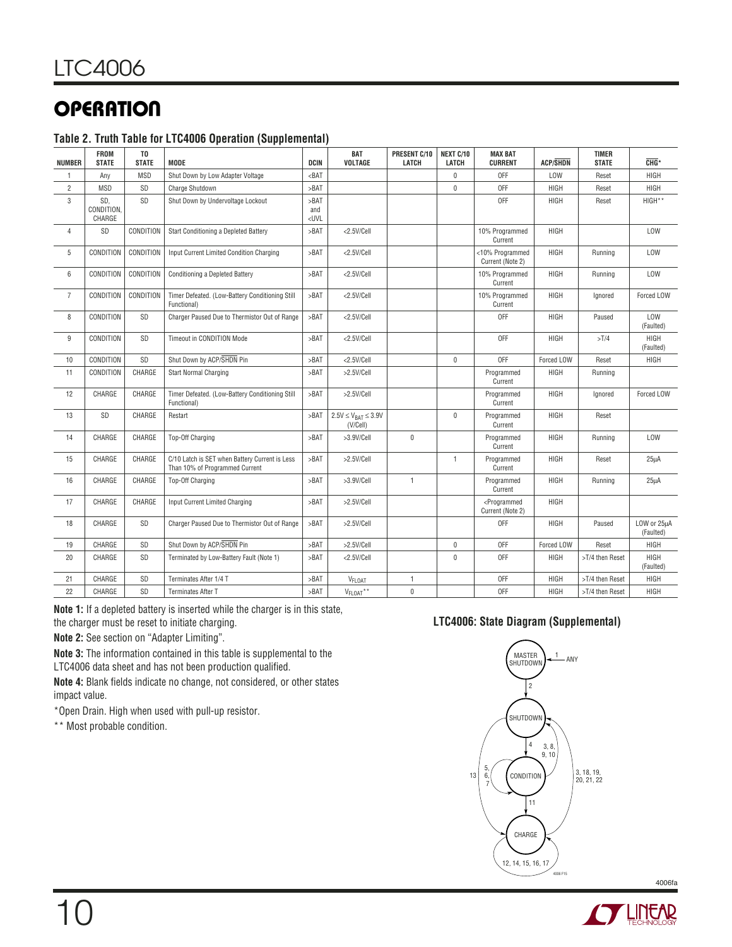#### **Table 2. Truth Table for LTC4006 Operation (Supplemental)**

| <b>NUMBER</b>  | <b>FROM</b><br><b>STATE</b> | T <sub>0</sub><br><b>STATE</b> | <b>MODE</b>                                                                      | DCIN                                                                                                                | <b>BAT</b><br>VOLTAGE                     | PRESENT C/10<br>LATCH | NEXT C/10<br>LATCH | <b>MAX BAT</b><br><b>CURRENT</b>                | <b>ACP/SHDN</b> | <b>TIMER</b><br><b>STATE</b> | $CHG*$                   |
|----------------|-----------------------------|--------------------------------|----------------------------------------------------------------------------------|---------------------------------------------------------------------------------------------------------------------|-------------------------------------------|-----------------------|--------------------|-------------------------------------------------|-----------------|------------------------------|--------------------------|
| 1              | Any                         | <b>MSD</b>                     | Shut Down by Low Adapter Voltage                                                 | $BAT$                                                                                                               |                                           |                       | 0                  | OFF                                             | LOW             | Reset                        | HIGH                     |
| $\overline{2}$ | <b>MSD</b>                  | SD                             | Charge Shutdown                                                                  | >BAT                                                                                                                |                                           |                       | $\pmb{0}$          | 0FF                                             | HIGH            | Reset                        | HIGH                     |
| 3              | SD.<br>CONDITION.<br>CHARGE | <b>SD</b>                      | Shut Down by Undervoltage Lockout                                                | >BAT<br>and<br><uvl< td=""><td></td><td></td><td></td><td>0FF</td><td>HIGH</td><td>Reset</td><td>HIGH**</td></uvl<> |                                           |                       |                    | 0FF                                             | HIGH            | Reset                        | HIGH**                   |
| $\overline{4}$ | SD                          | CONDITION                      | Start Conditioning a Depleted Battery                                            | >BAT                                                                                                                | <2.5V/Cell                                |                       |                    | 10% Programmed<br>Current                       | HIGH            |                              | LOW                      |
| 5              | CONDITION                   | CONDITION                      | Input Current Limited Condition Charging                                         | >BAT                                                                                                                | <2.5V/Cell                                |                       |                    | <10% Programmed<br>Current (Note 2)             | HIGH            | Running                      | LOW                      |
| 6              | CONDITION                   | CONDITION                      | Conditioning a Depleted Battery                                                  | >BAT                                                                                                                | <2.5V/Cell                                |                       |                    | 10% Programmed<br>Current                       | HIGH            | Running                      | LOW                      |
| $\overline{7}$ | CONDITION                   | CONDITION                      | Timer Defeated. (Low-Battery Conditioning Still<br>Functional)                   | >BAT                                                                                                                | <2.5V/Cell                                |                       |                    | 10% Programmed<br>Current                       | HIGH            | Ignored                      | Forced LOW               |
| 8              | CONDITION                   | SD                             | Charger Paused Due to Thermistor Out of Range                                    | >BAT                                                                                                                | <2.5V/Cell                                |                       |                    | <b>OFF</b>                                      | HIGH            | Paused                       | LOW<br>(Faulted)         |
| 9              | CONDITION                   | SD                             | Timeout in CONDITION Mode                                                        | >BAT                                                                                                                | <2.5V/Cell                                |                       |                    | OFF                                             | HIGH            | >T/4                         | <b>HIGH</b><br>(Faulted) |
| 10             | CONDITION                   | SD                             | Shut Down by ACP/SHDN Pin                                                        | >BAT                                                                                                                | <2.5V/Cell                                |                       | $\pmb{0}$          | <b>OFF</b>                                      | Forced LOW      | Reset                        | <b>HIGH</b>              |
| 11             | CONDITION                   | CHARGE                         | <b>Start Normal Charging</b>                                                     | >BAT                                                                                                                | >2.5V/Cell                                |                       |                    | Programmed<br>Current                           | HIGH            | Running                      |                          |
| 12             | CHARGE                      | CHARGE                         | Timer Defeated. (Low-Battery Conditioning Still<br>Functional)                   | >BAT                                                                                                                | >2.5V/Cell                                |                       |                    | Programmed<br>Current                           | HIGH            | lanored                      | Forced LOW               |
| 13             | SD                          | CHARGE                         | Restart                                                                          | >BAT                                                                                                                | $2.5V \leq V_{BAT} \leq 3.9V$<br>(V/Cell) |                       | $\mathbf{0}$       | Programmed<br>Current                           | HIGH            | Reset                        |                          |
| 14             | CHARGE                      | CHARGE                         | <b>Top-Off Charging</b>                                                          | >BAT                                                                                                                | >3.9V/Cell                                | $\mathbf 0$           |                    | Programmed<br>Current                           | HIGH            | Running                      | LOW                      |
| 15             | CHARGE                      | CHARGE                         | C/10 Latch is SET when Battery Current is Less<br>Than 10% of Programmed Current | >BAT                                                                                                                | >2.5V/Cell                                |                       | $\mathbf{1}$       | Programmed<br>Current                           | HIGH            | Reset                        | $25\mu$ A                |
| 16             | CHARGE                      | CHARGE                         | <b>Top-Off Charging</b>                                                          | >BAT                                                                                                                | >3.9V/Cell                                | $\mathbf{1}$          |                    | Programmed<br>Current                           | HIGH            | Running                      | 25 <sub>u</sub> A        |
| 17             | CHARGE                      | CHARGE                         | Input Current Limited Charging                                                   | >BAT                                                                                                                | >2.5V/Cell                                |                       |                    | <programmed<br>Current (Note 2)</programmed<br> | HIGH            |                              |                          |
| 18             | CHARGE                      | SD                             | Charger Paused Due to Thermistor Out of Range                                    | >BAT                                                                                                                | >2.5V/Cell                                |                       |                    | <b>OFF</b>                                      | HIGH            | Paused                       | LOW or 25uA<br>(Faulted) |
| 19             | CHARGE                      | SD                             | Shut Down by ACP/SHDN Pin                                                        | >BAT                                                                                                                | >2.5V/Cell                                |                       | 0                  | OFF                                             | Forced LOW      | Reset                        | HIGH                     |
| 20             | CHARGE                      | SD                             | Terminated by Low-Battery Fault (Note 1)                                         | >BAT                                                                                                                | <2.5V/Cell                                |                       | $\pmb{0}$          | <b>OFF</b>                                      | HIGH            | >T/4 then Reset              | HIGH<br>(Faulted)        |
| 21             | CHARGE                      | SD                             | Terminates After 1/4 T                                                           | >BAT                                                                                                                | V <sub>FLOAT</sub>                        | $\mathbf{1}$          |                    | OFF                                             | HIGH            | >T/4 then Reset              | <b>HIGH</b>              |
| 22             | CHARGE                      | SD                             | Terminates After T                                                               | >BAT                                                                                                                | V <sub>FLOAT</sub> **                     | $\mathsf 0$           |                    | <b>OFF</b>                                      | HIGH            | >T/4 then Reset              | <b>HIGH</b>              |

**Note 1:** If a depleted battery is inserted while the charger is in this state, the charger must be reset to initiate charging.

**Note 2:** See section on "Adapter Limiting".

**Note 3:** The information contained in this table is supplemental to the LTC4006 data sheet and has not been production qualified.

**Note 4:** Blank fields indicate no change, not considered, or other states impact value.

\*Open Drain. High when used with pull-up resistor.

\*\* Most probable condition.

#### **LTC4006: State Diagram (Supplemental)**

![](_page_9_Figure_11.jpeg)

![](_page_9_Picture_12.jpeg)

![](_page_9_Picture_14.jpeg)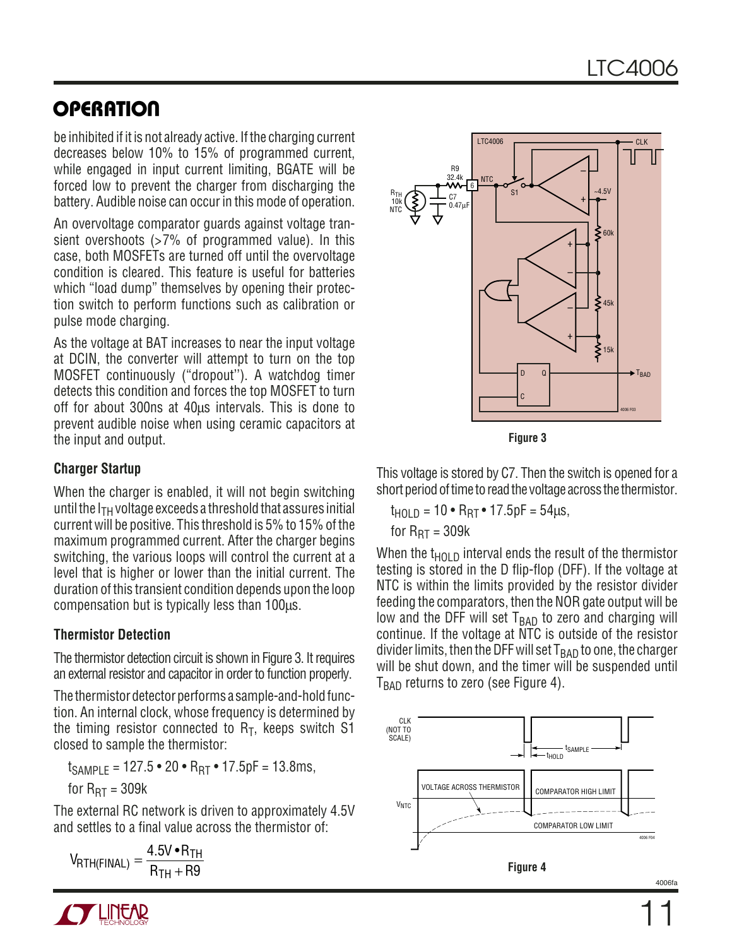be inhibited if it is not already active. If the charging current decreases below 10% to 15% of programmed current, while engaged in input current limiting, BGATE will be forced low to prevent the charger from discharging the battery. Audible noise can occur in this mode of operation.

An overvoltage comparator guards against voltage transient overshoots  $>7\%$  of programmed value). In this case, both MOSFETs are turned off until the overvoltage condition is cleared. This feature is useful for batteries which "load dump" themselves by opening their protection switch to perform functions such as calibration or pulse mode charging.

As the voltage at BAT increases to near the input voltage at DCIN, the converter will attempt to turn on the top MOSFET continuously ("dropout''). A watchdog timer detects this condition and forces the top MOSFET to turn off for about 300ns at 40µs intervals. This is done to prevent audible noise when using ceramic capacitors at the input and output.

### **Charger Startup**

When the charger is enabled, it will not begin switching until the  $I_{TH}$  voltage exceeds a threshold that assures initial current will be positive. This threshold is 5% to 15% of the maximum programmed current. After the charger begins switching, the various loops will control the current at a level that is higher or lower than the initial current. The duration of this transient condition depends upon the loop compensation but is typically less than 100µs.

### **Thermistor Detection**

The thermistor detection circuit is shown in Figure 3. It requires an external resistor and capacitor in order to function properly.

The thermistor detector performs a sample-and-hold function. An internal clock, whose frequency is determined by the timing resistor connected to  $R_T$ , keeps switch S1 closed to sample the thermistor:

 $t_{SAMPIF}$  = 127.5 • 20 •  $R_{BT}$  • 17.5pF = 13.8ms,

for  $R_{\text{RT}} = 309k$ 

The external RC network is driven to approximately 4.5V and settles to a final value across the thermistor of:

 $V_{\text{RTH(FINAL)}} = \frac{4.5 \sqrt{6}}{2}$  $R_{\text{TH}}(\text{Final}) = \frac{4.5 \text{V} \cdot \text{R}_{\text{TH}}}{\text{R}_{\text{TH}} + \text{R}9}$ 9

![](_page_10_Figure_14.jpeg)

**Figure 3**

This voltage is stored by C7. Then the switch is opened for a short period of time to read the voltage across the thermistor.

 $t_{HOLD} = 10 \cdot R_{RT} \cdot 17.5pF = 54 \mu s$ , for  $R_{\text{RT}} = 309k$ 

When the  $t_{HOL}$  interval ends the result of the thermistor testing is stored in the D flip-flop (DFF). If the voltage at NTC is within the limits provided by the resistor divider feeding the comparators, then the NOR gate output will be low and the DFF will set  $T<sub>BAD</sub>$  to zero and charging will continue. If the voltage at NTC is outside of the resistor divider limits, then the DFF will set  $T<sub>BAD</sub>$  to one, the charger will be shut down, and the timer will be suspended until  $T<sub>BAD</sub>$  returns to zero (see Figure 4).

![](_page_10_Figure_19.jpeg)

![](_page_10_Picture_20.jpeg)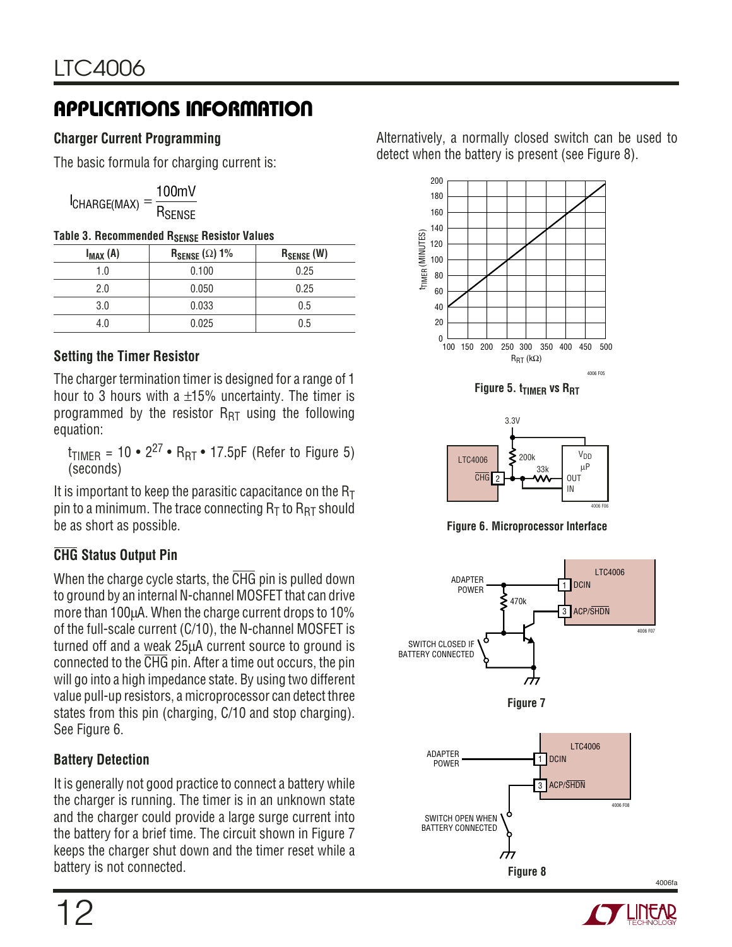### **Charger Current Programming**

The basic formula for charging current is:

|             | 100mV              |
|-------------|--------------------|
| CHARGE(MAX) | R <sub>SENSE</sub> |

#### **Table 3. Recommended RSENSE Resistor Values**

| $I_{MAX}(A)$ | $R_{\text{SENSE}}(\Omega)$ 1% | $R_{\text{SENSE}}$ (W) |
|--------------|-------------------------------|------------------------|
| 1.0          | 0.100                         | 0.25                   |
| 2.0          | 0.050                         | 0.25                   |
| 3.0          | 0.033                         | 0.5                    |
| 4.0          | 0.025                         | 0.5                    |

### **Setting the Timer Resistor**

The charger termination timer is designed for a range of 1 hour to 3 hours with a  $\pm 15$ % uncertainty. The timer is programmed by the resistor  $R_{RT}$  using the following equation:

 $t_{TIMER} = 10 \cdot 2^{27} \cdot R_{RT} \cdot 17.5pF$  (Refer to Figure 5) (seconds)

It is important to keep the parasitic capacitance on the  $R<sub>T</sub>$ pin to a minimum. The trace connecting  $R<sub>T</sub>$  to  $R<sub>RT</sub>$  should be as short as possible.

### **CHG Status Output Pin**

When the charge cycle starts, the CHG pin is pulled down to ground by an internal N-channel MOSFET that can drive more than 100µA. When the charge current drops to 10% of the full-scale current (C/10), the N-channel MOSFET is turned off and a weak 25µA current source to ground is connected to the CHG pin. After a time out occurs, the pin will go into a high impedance state. By using two different value pull-up resistors, a microprocessor can detect three states from this pin (charging, C/10 and stop charging). See Figure 6.

### **Battery Detection**

It is generally not good practice to connect a battery while the charger is running. The timer is in an unknown state and the charger could provide a large surge current into the battery for a brief time. The circuit shown in Figure 7 keeps the charger shut down and the timer reset while a battery is not connected.

Alternatively, a normally closed switch can be used to detect when the battery is present (see Figure 8).

![](_page_11_Figure_16.jpeg)

**Figure 5. t<sub>TIMER</sub> vs R<sub>RT</sub>** 

![](_page_11_Figure_18.jpeg)

**Figure 6. Microprocessor Interface**

![](_page_11_Figure_20.jpeg)

![](_page_11_Picture_21.jpeg)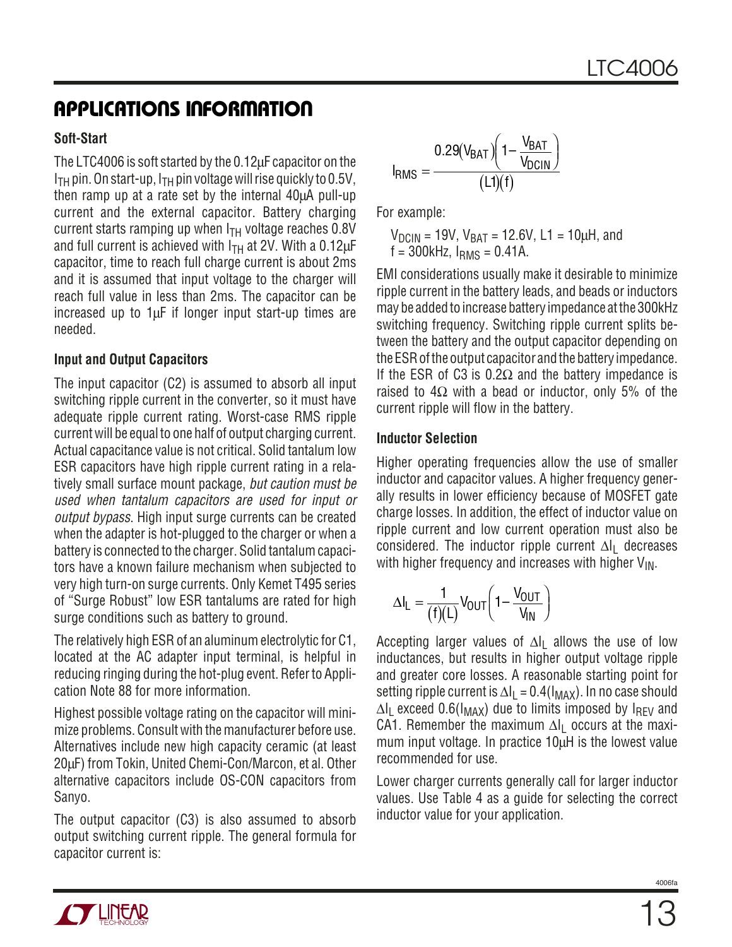### **Soft-Start**

The LTC4006 is soft started by the 0.12µF capacitor on the  $I<sub>TH</sub>$  pin. On start-up,  $I<sub>TH</sub>$  pin voltage will rise quickly to 0.5V, then ramp up at a rate set by the internal 40µA pull-up current and the external capacitor. Battery charging current starts ramping up when  $I<sub>TH</sub>$  voltage reaches 0.8V and full current is achieved with  $I<sub>TH</sub>$  at 2V. With a 0.12 $\mu$ F capacitor, time to reach full charge current is about 2ms and it is assumed that input voltage to the charger will reach full value in less than 2ms. The capacitor can be increased up to  $1\mu$ F if longer input start-up times are needed.

#### **Input and Output Capacitors**

The input capacitor (C2) is assumed to absorb all input switching ripple current in the converter, so it must have adequate ripple current rating. Worst-case RMS ripple current will be equal to one half of output charging current. Actual capacitance value is not critical. Solid tantalum low ESR capacitors have high ripple current rating in a relatively small surface mount package, but caution must be used when tantalum capacitors are used for input or output bypass. High input surge currents can be created when the adapter is hot-plugged to the charger or when a battery is connected to the charger. Solid tantalum capacitors have a known failure mechanism when subjected to very high turn-on surge currents. Only Kemet T495 series of "Surge Robust" low ESR tantalums are rated for high surge conditions such as battery to ground.

The relatively high ESR of an aluminum electrolytic for C1, located at the AC adapter input terminal, is helpful in reducing ringing during the hot-plug event. Refer to Application Note 88 for more information.

Highest possible voltage rating on the capacitor will minimize problems. Consult with the manufacturer before use. Alternatives include new high capacity ceramic (at least 20µF) from Tokin, United Chemi-Con/Marcon, et al. Other alternative capacitors include OS-CON capacitors from Sanyo.

The output capacitor (C3) is also assumed to absorb output switching current ripple. The general formula for capacitor current is:

$$
I_{RMS} = \frac{0.29(V_{BAT}) \left(1 - \frac{V_{BAT}}{V_{DCIN}}\right)}{(L1)(f)}
$$

For example:

 $V_{\text{DCIN}}$  = 19V,  $V_{\text{BAT}}$  = 12.6V, L1 = 10µH, and  $f = 300$ kHz,  $I_{RMS} = 0.41$ A.

EMI considerations usually make it desirable to minimize ripple current in the battery leads, and beads or inductors may be added to increase battery impedance at the 300kHz switching frequency. Switching ripple current splits between the battery and the output capacitor depending on the ESR of the output capacitor and the battery impedance. If the ESR of C3 is  $0.2\Omega$  and the battery impedance is raised to  $4\Omega$  with a bead or inductor, only 5% of the current ripple will flow in the battery.

#### **Inductor Selection**

Higher operating frequencies allow the use of smaller inductor and capacitor values. A higher frequency generally results in lower efficiency because of MOSFET gate charge losses. In addition, the effect of inductor value on ripple current and low current operation must also be considered. The inductor ripple current ∆l<sub>l</sub> decreases with higher frequency and increases with higher  $V_{\text{IN}}$ .

$$
\Delta I_L = \frac{1}{(f)(L)} V_{OUT} \bigg( 1 - \frac{V_{OUT}}{V_{IN}} \bigg)
$$

Accepting larger values of  $\Delta I$ <sub>L</sub> allows the use of low inductances, but results in higher output voltage ripple and greater core losses. A reasonable starting point for setting ripple current is  $\Delta I_L = 0.4(I_{MAX})$ . In no case should  $\Delta I_1$  exceed 0.6(I<sub>MAX</sub>) due to limits imposed by I<sub>RFV</sub> and CA1. Remember the maximum  $\Delta I_1$  occurs at the maximum input voltage. In practice 10µH is the lowest value recommended for use.

Lower charger currents generally call for larger inductor values. Use Table 4 as a guide for selecting the correct inductor value for your application.

4006f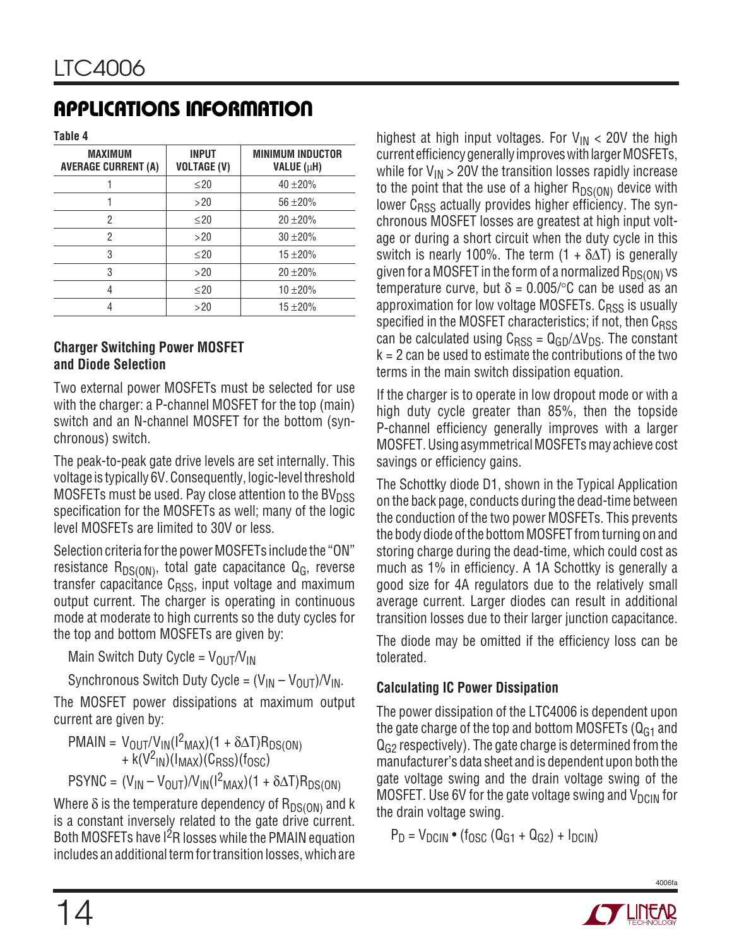**Table 4**

| <b>MAXIMUM</b><br><b>AVERAGE CURRENT (A)</b> | <b>INPUT</b><br><b>VOLTAGE (V)</b> | <b>MINIMUM INDUCTOR</b><br>VALUE (µH) |
|----------------------------------------------|------------------------------------|---------------------------------------|
|                                              | $\leq$ 20                          | $40 + 20%$                            |
|                                              | >20                                | $56 + 20%$                            |
| 2                                            | $\leq$ 20                          | $20 \pm 20\%$                         |
| 2                                            | >20                                | $30 + 20%$                            |
| 3                                            | $\leq$ 20                          | $15 + 20%$                            |
| 3                                            | >20                                | $20 \pm 20\%$                         |
| 4                                            | $\leq$ 20                          | $10 + 20%$                            |
|                                              | >20                                | $15 + 20%$                            |

#### **Charger Switching Power MOSFET and Diode Selection**

Two external power MOSFETs must be selected for use with the charger: a P-channel MOSFET for the top (main) switch and an N-channel MOSFET for the bottom (synchronous) switch.

The peak-to-peak gate drive levels are set internally. This voltage is typically 6V. Consequently, logic-level threshold MOSFETs must be used. Pay close attention to the BV $_{\text{DSS}}$ specification for the MOSFETs as well; many of the logic level MOSFETs are limited to 30V or less.

Selection criteria for the power MOSFETs include the "ON" resistance  $R_{DS(ON)}$ , total gate capacitance  $Q_G$ , reverse transfer capacitance  $C_{RSS}$ , input voltage and maximum output current. The charger is operating in continuous mode at moderate to high currents so the duty cycles for the top and bottom MOSFETs are given by:

Main Switch Duty Cycle =  $V_{OUT}/V_{IN}$ 

Synchronous Switch Duty Cycle =  $(V_{IN} - V_{OUT})/V_{IN}$ .

The MOSFET power dissipations at maximum output current are given by:

 $PMAIN = V_{OUT}/V_{IN}(1^2_{MAX})(1 + \delta \Delta T)R_{DS(ON)}$  $+ k(V^2_{IN})(I_{MAX})(C_{RSS})(f_{OSC})$ 

$$
\text{PSYNC} = (V_{\text{IN}} - V_{\text{OUT}}) / V_{\text{IN}} (l^2_{\text{MAX}}) (1 + \delta \Delta T) R_{\text{DS}(\text{ON})}
$$

Where  $\delta$  is the temperature dependency of  $R_{DS(ON)}$  and k is a constant inversely related to the gate drive current. Both MOSFETs have I<sup>2</sup>R losses while the PMAIN equation includes an additional term for transition losses, which are

highest at high input voltages. For  $V_{IN}$  < 20V the high current efficiency generally improves with larger MOSFETs, while for  $V_{IN}$  > 20V the transition losses rapidly increase to the point that the use of a higher  $R_{DS(ON)}$  device with lower C<sub>RSS</sub> actually provides higher efficiency. The synchronous MOSFET losses are greatest at high input voltage or during a short circuit when the duty cycle in this switch is nearly 100%. The term  $(1 + \delta \Delta T)$  is generally given for a MOSFET in the form of a normalized  $R_{DS(ON)}$  vs temperature curve, but  $\delta = 0.005$ /°C can be used as an approximation for low voltage MOSFETs.  $C_{RSS}$  is usually specified in the MOSFET characteristics; if not, then C<sub>RSS</sub> can be calculated using  $C_{RSS} = Q_{GD}/\Delta V_{DS}$ . The constant  $k = 2$  can be used to estimate the contributions of the two terms in the main switch dissipation equation.

If the charger is to operate in low dropout mode or with a high duty cycle greater than 85%, then the topside P-channel efficiency generally improves with a larger MOSFET. Using asymmetrical MOSFETs may achieve cost savings or efficiency gains.

The Schottky diode D1, shown in the Typical Application on the back page, conducts during the dead-time between the conduction of the two power MOSFETs. This prevents the body diode of the bottom MOSFET from turning on and storing charge during the dead-time, which could cost as much as 1% in efficiency. A 1A Schottky is generally a good size for 4A regulators due to the relatively small average current. Larger diodes can result in additional transition losses due to their larger junction capacitance.

The diode may be omitted if the efficiency loss can be tolerated.

### **Calculating IC Power Dissipation**

The power dissipation of the LTC4006 is dependent upon the gate charge of the top and bottom MOSFETs  $(Q<sub>G1</sub>$  and  $Q<sub>G2</sub>$  respectively). The gate charge is determined from the manufacturer's data sheet and is dependent upon both the gate voltage swing and the drain voltage swing of the MOSFET. Use 6V for the gate voltage swing and  $V_{DC}$  for the drain voltage swing.

$$
P_D = V_{DCIN} \bullet (f_{OSC} (Q_{G1} + Q_{G2}) + I_{DCIN})
$$

![](_page_13_Picture_21.jpeg)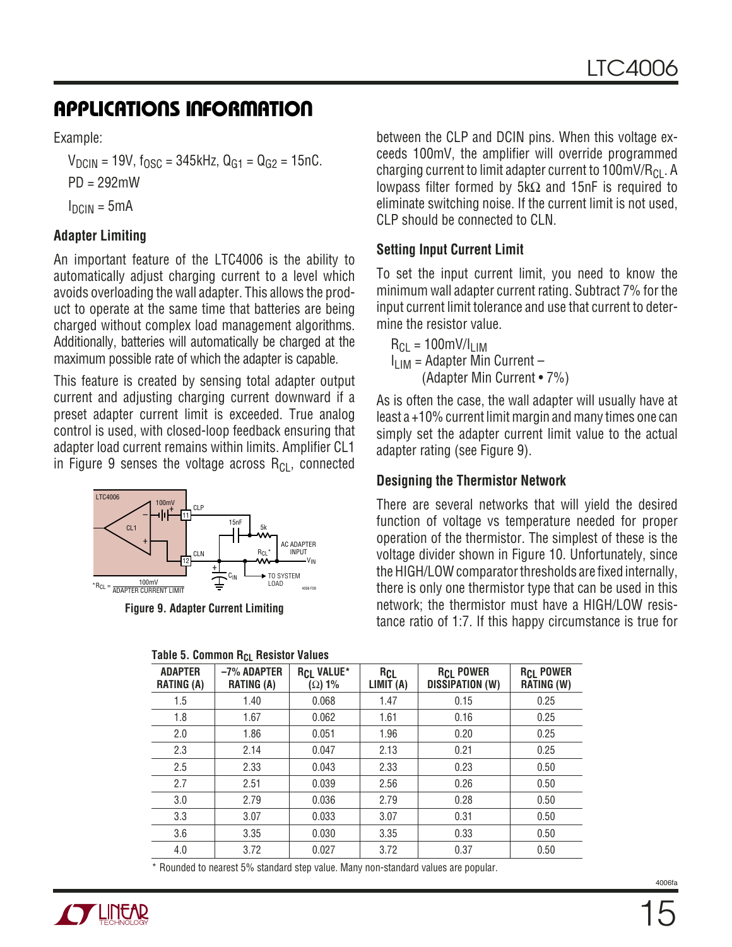Example:

 $V_{DCIN}$  = 19V,  $f_{OSC}$  = 345kHz,  $Q_{G1}$  =  $Q_{G2}$  = 15nC. PD = 292mW  $I_{DCIN} = 5mA$ 

### **Adapter Limiting**

An important feature of the LTC4006 is the ability to automatically adjust charging current to a level which avoids overloading the wall adapter. This allows the product to operate at the same time that batteries are being charged without complex load management algorithms. Additionally, batteries will automatically be charged at the maximum possible rate of which the adapter is capable.

This feature is created by sensing total adapter output current and adjusting charging current downward if a preset adapter current limit is exceeded. True analog control is used, with closed-loop feedback ensuring that adapter load current remains within limits. Amplifier CL1 in Figure 9 senses the voltage across  $R_{Cl}$ , connected

![](_page_14_Figure_7.jpeg)

**Figure 9. Adapter Current Limiting**

| Table 5. Common R <sub>CL</sub> Resistor Values |  |  |  |
|-------------------------------------------------|--|--|--|
|-------------------------------------------------|--|--|--|

between the CLP and DCIN pins. When this voltage exceeds 100mV, the amplifier will override programmed charging current to limit adapter current to 100mV/ $R_{Cl}$ . A lowpass filter formed by 5kΩ and 15nF is required to eliminate switching noise. If the current limit is not used, CLP should be connected to CLN.

#### **Setting Input Current Limit**

To set the input current limit, you need to know the minimum wall adapter current rating. Subtract 7% for the input current limit tolerance and use that current to determine the resistor value.

 $R_{CI}$  = 100mV/I<sub>LIM</sub>  $I_{LIM}$  = Adapter Min Current – (Adapter Min Current • 7%)

As is often the case, the wall adapter will usually have at least a +10% current limit margin and many times one can simply set the adapter current limit value to the actual adapter rating (see Figure 9).

#### **Designing the Thermistor Network**

There are several networks that will yield the desired function of voltage vs temperature needed for proper operation of the thermistor. The simplest of these is the voltage divider shown in Figure 10. Unfortunately, since the HIGH/LOW comparator thresholds are fixed internally, there is only one thermistor type that can be used in this network; the thermistor must have a HIGH/LOW resistance ratio of 1:7. If this happy circumstance is true for

| <b>1 ANIE J. COMMUNI NATIONAL AND AND ANIES</b> |                                  |                                    |                         |                                            |                                       |  |  |
|-------------------------------------------------|----------------------------------|------------------------------------|-------------------------|--------------------------------------------|---------------------------------------|--|--|
| <b>ADAPTER</b><br><b>RATING (A)</b>             | -7% ADAPTER<br><b>RATING (A)</b> | <b>RCL VALUE*</b><br>$(\Omega)$ 1% | <b>RCL</b><br>LIMIT (A) | <b>RCL POWER</b><br><b>DISSIPATION (W)</b> | <b>RCL POWER</b><br><b>RATING (W)</b> |  |  |
| 1.5                                             | 1.40                             | 0.068                              | 1.47                    | 0.15                                       | 0.25                                  |  |  |
| 1.8                                             | 1.67                             | 0.062                              | 1.61                    | 0.16                                       | 0.25                                  |  |  |
| 2.0                                             | 1.86                             | 0.051                              | 1.96                    | 0.20                                       | 0.25                                  |  |  |
| 2.3                                             | 2.14                             | 0.047                              | 2.13                    | 0.21                                       | 0.25                                  |  |  |
| 2.5                                             | 2.33                             | 0.043                              | 2.33                    | 0.23                                       | 0.50                                  |  |  |
| 2.7                                             | 2.51                             | 0.039                              | 2.56                    | 0.26                                       | 0.50                                  |  |  |
| 3.0                                             | 2.79                             | 0.036                              | 2.79                    | 0.28                                       | 0.50                                  |  |  |
| 3.3                                             | 3.07                             | 0.033                              | 3.07                    | 0.31                                       | 0.50                                  |  |  |
| 3.6                                             | 3.35                             | 0.030                              | 3.35                    | 0.33                                       | 0.50                                  |  |  |
| 4.0                                             | 3.72                             | 0.027                              | 3.72                    | 0.37                                       | 0.50                                  |  |  |

\* Rounded to nearest 5% standard step value. Many non-standard values are popular.

![](_page_14_Picture_19.jpeg)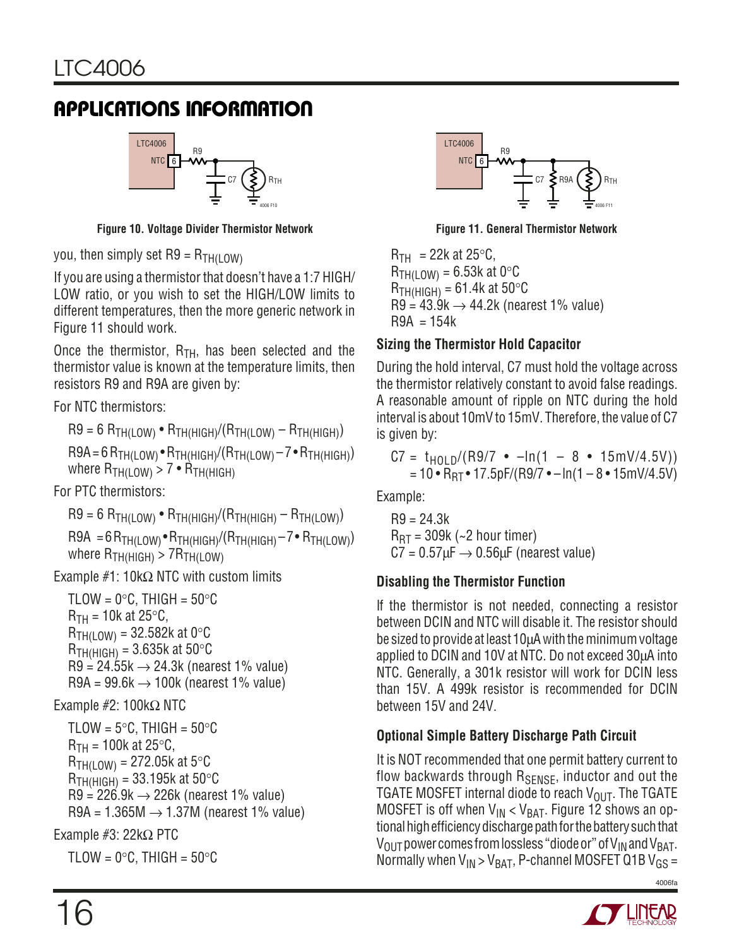![](_page_15_Figure_2.jpeg)

**Figure 10. Voltage Divider Thermistor Network Figure 11. General Thermistor Network**

you, then simply set  $R9 = R_{TH(LOW)}$ 

If you are using a thermistor that doesn't have a 1:7 HIGH/ LOW ratio, or you wish to set the HIGH/LOW limits to different temperatures, then the more generic network in Figure 11 should work.

Once the thermistor,  $R_{TH}$ , has been selected and the thermistor value is known at the temperature limits, then resistors R9 and R9A are given by:

For NTC thermistors:

$$
R9 = 6 R_{TH(LOW)} \cdot R_{TH(HIGH)}/(R_{TH(LOW)} - R_{TH(HIGH)})
$$

 $R9A = 6 R<sub>TH(LOW)</sub> • R<sub>TH(HIGH)</sub>/(R<sub>TH(LOW)</sub> – 7 • R<sub>TH(HIGH)</sub>)$ where  $R_{TH(LOW)} > 7 \cdot R_{TH(HIGH)}$ 

For PTC thermistors:

 $R9 = 6 R<sub>TH(LOW)</sub>$  •  $R<sub>TH(HIGH)</sub>/(R<sub>TH(HIGH)</sub> - R<sub>TH(LOW)</sub>)$ 

 $R9A = 6 R<sub>TH(LOW)</sub>$  •  $R<sub>TH(HIGH)</sub>$  $(R<sub>TH(HIGH)</sub> - 7$  •  $R<sub>TH(LOW)</sub>$ ) where  $R_{TH(HIGH)} > 7R_{TH(LOW)}$ 

Example #1: 10k $\Omega$  NTC with custom limits

```
TLOW = 0^{\circ}C, THIGH = 50^{\circ}C
R_{TH} = 10k at 25\degreeC,
R_{TH(10W)} = 32.582k at 0°C
R_{TH(HIGH)} = 3.635k at 50\degreeC
R9 = 24.55k \rightarrow 24.3k (nearest 1% value)
R9A = 99.6k \rightarrow 100k (nearest 1% value)
```
### Example #2: 100kΩ NTC

TLOW =  $5^{\circ}$ C, THIGH =  $50^{\circ}$ C  $R_{TH}$  = 100k at 25 $\degree$ C,  $R_{TH(LOW)} = 272.05k$  at 5°C  $R_{TH(HIGH)} = 33.195k$  at 50 °C  $R9 = 226.9k \rightarrow 226k$  (nearest 1% value) R9A = 1.365M  $\rightarrow$  1.37M (nearest 1% value) Example #3: 22kΩ PTC

TLOW =  $0^{\circ}$ C, THIGH =  $50^{\circ}$ C

![](_page_15_Figure_18.jpeg)

 $R_{TH}$  = 22k at 25°C,  $R_{TH(LOW)} = 6.53k$  at 0°C  $R_{TH(HIGH)} = 61.4k$  at 50 $\degree$ C  $R9 = 43.9k \rightarrow 44.2k$  (nearest 1% value)  $R9A = 154k$ 

### **Sizing the Thermistor Hold Capacitor**

During the hold interval, C7 must hold the voltage across the thermistor relatively constant to avoid false readings. A reasonable amount of ripple on NTC during the hold interval is about 10mV to 15mV. Therefore, the value of C7 is given by:

$$
C7 = t_{HOLD}/(R9/7 \cdot -\ln(1 - 8 \cdot 15mV/4.5V))
$$
  
= 10 \cdot R\_{RT} \cdot 17.5pF/(R9/7 \cdot -\ln(1 - 8 \cdot 15mV/4.5V))

Example:

 $R9 = 24.3k$  $R_{\text{RT}}$  = 309k (~2 hour timer)  $C7 = 0.57 \mu F \rightarrow 0.56 \mu F$  (nearest value)

### **Disabling the Thermistor Function**

If the thermistor is not needed, connecting a resistor between DCIN and NTC will disable it. The resistor should be sized to provide at least 10µA with the minimum voltage applied to DCIN and 10V at NTC. Do not exceed 30µA into NTC. Generally, a 301k resistor will work for DCIN less than 15V. A 499k resistor is recommended for DCIN between 15V and 24V.

### **Optional Simple Battery Discharge Path Circuit**

It is NOT recommended that one permit battery current to flow backwards through  $R_{\text{SENSE}}$ , inductor and out the TGATE MOSFET internal diode to reach  $V_{\text{OUT}}$ . The TGATE MOSFET is off when  $V_{IN}$  <  $V_{BAT}$ . Figure 12 shows an optional high efficiency discharge path for the battery such that  $V_{\text{OUT}}$  power comes from lossless "diode or" of  $V_{\text{IN}}$  and  $V_{\text{BAT}}$ . Normally when  $V_{IN} > V_{BAT}$ , P-channel MOSFET Q1B  $V_{GS}$  =

![](_page_15_Picture_30.jpeg)

![](_page_15_Picture_32.jpeg)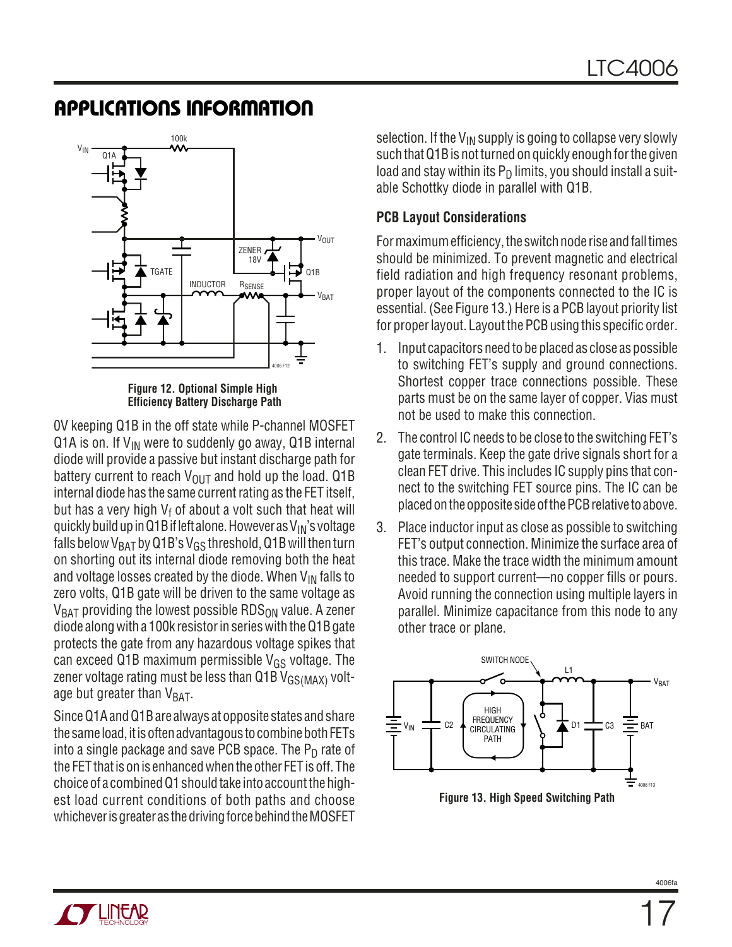![](_page_16_Figure_2.jpeg)

**Figure 12. Optional Simple High Efficiency Battery Discharge Path**

0V keeping Q1B in the off state while P-channel MOSFET Q1A is on. If  $V_{IN}$  were to suddenly go away, Q1B internal diode will provide a passive but instant discharge path for battery current to reach  $V_{\text{OUT}}$  and hold up the load. Q1B internal diode has the same current rating as the FET itself, but has a very high  $V_f$  of about a volt such that heat will quickly build up in Q1B if left alone. However as  $V_{IN}$ 's voltage falls below V<sub>BAT</sub> by Q1B's V<sub>GS</sub> threshold, Q1B will then turn on shorting out its internal diode removing both the heat and voltage losses created by the diode. When  $V_{IN}$  falls to zero volts, Q1B gate will be driven to the same voltage as  $V_{BAT}$  providing the lowest possible RDS<sub>ON</sub> value. A zener diode along with a 100k resistor in series with the Q1B gate protects the gate from any hazardous voltage spikes that can exceed Q1B maximum permissible  $V_{GS}$  voltage. The zener voltage rating must be less than  $Q1BV_{GS(MAX)}$  voltage but greater than  $V_{BAT}$ .

Since Q1A and Q1B are always at opposite states and share the same load, it is often advantagous to combine both FETs into a single package and save PCB space. The  $P_D$  rate of the FET that is on is enhanced when the other FET is off. The choice of a combined Q1 should take into account the highest load current conditions of both paths and choose whichever is greater as the driving force behind the MOSFET

selection. If the  $V_{IN}$  supply is going to collapse very slowly such that Q1B is not turned on quickly enough for the given load and stay within its  $P_D$  limits, you should install a suitable Schottky diode in parallel with Q1B.

### **PCB Layout Considerations**

For maximum efficiency, the switch node rise and fall times should be minimized. To prevent magnetic and electrical field radiation and high frequency resonant problems, proper layout of the components connected to the IC is essential. (See Figure 13.) Here is a PCB layout priority list for proper layout. Layout the PCB using this specific order.

- 1. Input capacitors need to be placed as close as possible to switching FET's supply and ground connections. Shortest copper trace connections possible. These parts must be on the same layer of copper. Vias must not be used to make this connection.
- 2. The control IC needs to be close to the switching FET's gate terminals. Keep the gate drive signals short for a clean FET drive. This includes IC supply pins that connect to the switching FET source pins. The IC can be placed on the opposite side of the PCB relative to above.
- 3. Place inductor input as close as possible to switching FET's output connection. Minimize the surface area of this trace. Make the trace width the minimum amount needed to support current—no copper fills or pours. Avoid running the connection using multiple layers in parallel. Minimize capacitance from this node to any other trace or plane.

![](_page_16_Figure_12.jpeg)

![](_page_16_Picture_14.jpeg)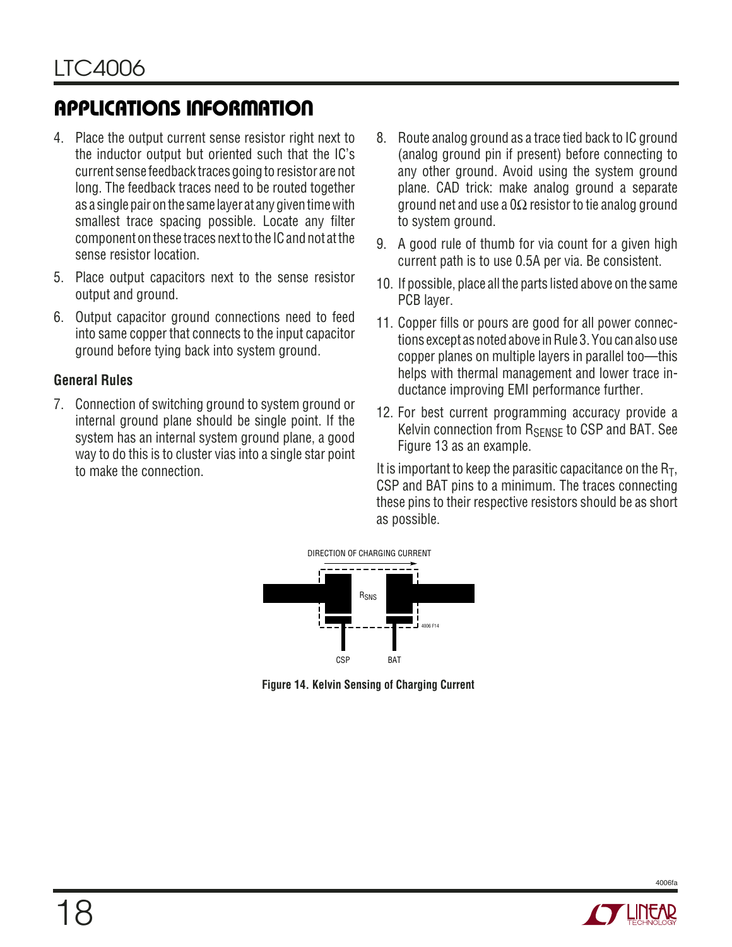- 4. Place the output current sense resistor right next to the inductor output but oriented such that the IC's current sense feedback traces going to resistor are not long. The feedback traces need to be routed together as a single pair on the same layer at any given time with smallest trace spacing possible. Locate any filter component on these traces next to the IC and not at the sense resistor location.
- 5. Place output capacitors next to the sense resistor output and ground.
- 6. Output capacitor ground connections need to feed into same copper that connects to the input capacitor ground before tying back into system ground.

### **General Rules**

7. Connection of switching ground to system ground or internal ground plane should be single point. If the system has an internal system ground plane, a good way to do this is to cluster vias into a single star point to make the connection.

- 8. Route analog ground as a trace tied back to IC ground (analog ground pin if present) before connecting to any other ground. Avoid using the system ground plane. CAD trick: make analog ground a separate ground net and use a 0Ω resistor to tie analog ground to system ground.
- 9. A good rule of thumb for via count for a given high current path is to use 0.5A per via. Be consistent.
- 10. If possible, place all the parts listed above on the same PCB layer.
- 11. Copper fills or pours are good for all power connections except as noted above in Rule 3. You can also use copper planes on multiple layers in parallel too—this helps with thermal management and lower trace inductance improving EMI performance further.
- 12. For best current programming accuracy provide a Kelvin connection from R<sub>SENSE</sub> to CSP and BAT. See Figure 13 as an example.

It is important to keep the parasitic capacitance on the  $R_T$ , CSP and BAT pins to a minimum. The traces connecting these pins to their respective resistors should be as short as possible.

![](_page_17_Figure_13.jpeg)

**Figure 14. Kelvin Sensing of Charging Current**

![](_page_17_Picture_15.jpeg)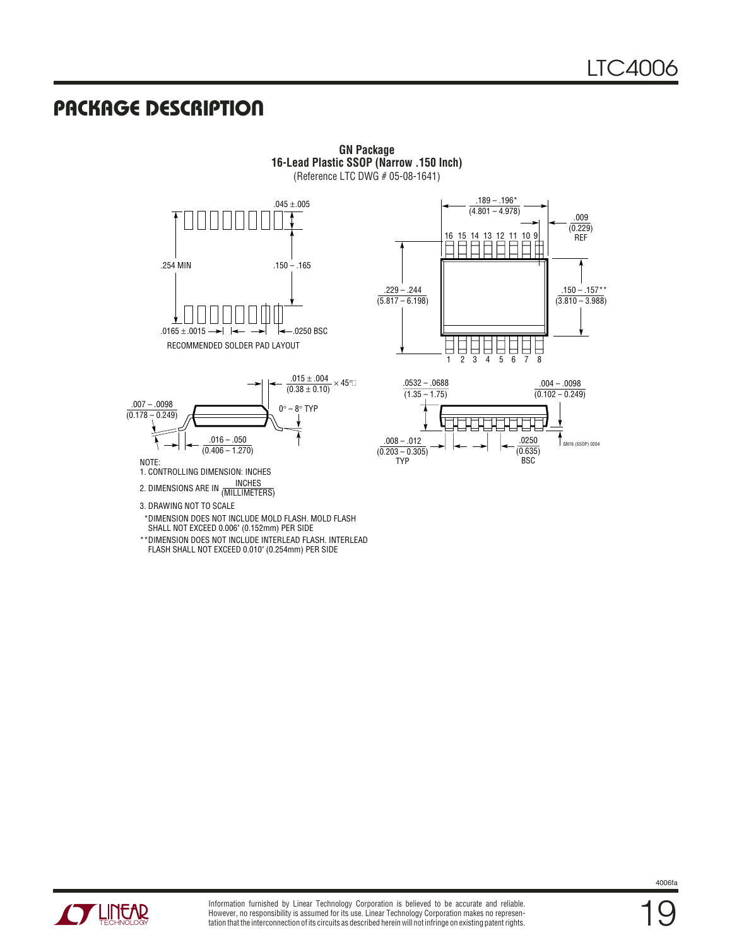### **PACKAGE DESCRIPTION U**

**GN Package 16-Lead Plastic SSOP (Narrow .150 Inch)** (Reference LTC DWG # 05-08-1641)

![](_page_18_Figure_3.jpeg)

![](_page_18_Figure_4.jpeg)

NOTE:

- 1. CONTROLLING DIMENSION: INCHES
- INCHES 2. DIMENSIONS ARE IN (MILLIMETERS)
- 3. DRAWING NOT TO SCALE
- \*DIMENSION DOES NOT INCLUDE MOLD FLASH. MOLD FLASH SHALL NOT EXCEED 0.006" (0.152mm) PER SIDE
- \*\*DIMENSION DOES NOT INCLUDE INTERLEAD FLASH. INTERLEAD FLASH SHALL NOT EXCEED 0.010" (0.254mm) PER SIDE

![](_page_18_Figure_11.jpeg)

![](_page_18_Figure_12.jpeg)

![](_page_18_Picture_13.jpeg)